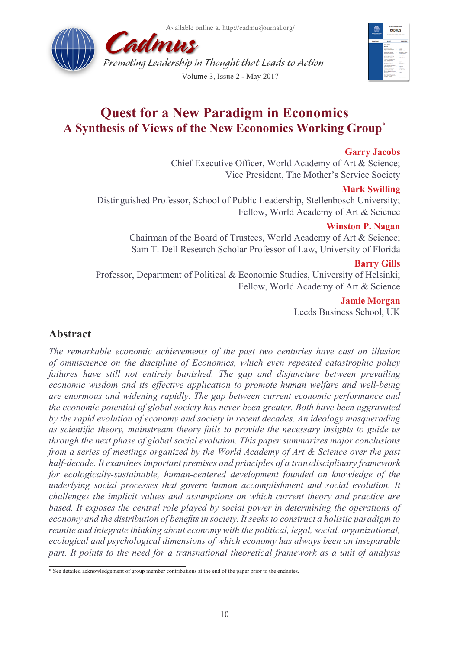Available online at http://cadmusjournal.org/





# **Quest for a New Paradigm in Economics A Synthesis of Views of the New Economics Working Group**\*

## **Garry Jacobs**

Chief Executive Officer, World Academy of Art & Science; Vice President, The Mother's Service Society

### **Mark Swilling**

Distinguished Professor, School of Public Leadership, Stellenbosch University; Fellow, World Academy of Art & Science

## **Winston P. Nagan**

Chairman of the Board of Trustees, World Academy of Art & Science; Sam T. Dell Research Scholar Professor of Law, University of Florida

#### **Barry Gills**

Professor, Department of Political & Economic Studies, University of Helsinki; Fellow, World Academy of Art & Science

### **Jamie Morgan**

Leeds Business School, UK

# **Abstract**

*The remarkable economic achievements of the past two centuries have cast an illusion of omniscience on the discipline of Economics, which even repeated catastrophic policy failures have still not entirely banished. The gap and disjuncture between prevailing economic wisdom and its effective application to promote human welfare and well-being are enormous and widening rapidly. The gap between current economic performance and the economic potential of global society has never been greater. Both have been aggravated by the rapid evolution of economy and society in recent decades. An ideology masquerading as scientific theory, mainstream theory fails to provide the necessary insights to guide us through the next phase of global social evolution. This paper summarizes major conclusions from a series of meetings organized by the World Academy of Art & Science over the past half-decade. It examines important premises and principles of a transdisciplinary framework for ecologically-sustainable, human-centered development founded on knowledge of the underlying social processes that govern human accomplishment and social evolution. It challenges the implicit values and assumptions on which current theory and practice are based. It exposes the central role played by social power in determining the operations of economy and the distribution of benefits in society. It seeks to construct a holistic paradigm to reunite and integrate thinking about economy with the political, legal, social, organizational, ecological and psychological dimensions of which economy has always been an inseparable part. It points to the need for a transnational theoretical framework as a unit of analysis* 

<sup>\*</sup> See detailed acknowledgement of group member contributions at the end of the paper prior to the endnotes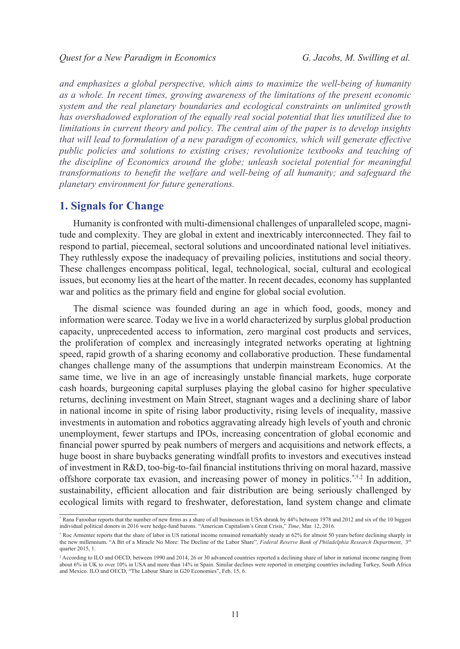*and emphasizes a global perspective, which aims to maximize the well-being of humanity as a whole. In recent times, growing awareness of the limitations of the present economic system and the real planetary boundaries and ecological constraints on unlimited growth has overshadowed exploration of the equally real social potential that lies unutilized due to limitations in current theory and policy. The central aim of the paper is to develop insights that will lead to formulation of a new paradigm of economics, which will generate effective public policies and solutions to existing crises; revolutionize textbooks and teaching of the discipline of Economics around the globe; unleash societal potential for meaningful transformations to benefit the welfare and well-being of all humanity; and safeguard the planetary environment for future generations.* 

# **1. Signals for Change**

Humanity is confronted with multi-dimensional challenges of unparalleled scope, magnitude and complexity. They are global in extent and inextricably interconnected. They fail to respond to partial, piecemeal, sectoral solutions and uncoordinated national level initiatives. They ruthlessly expose the inadequacy of prevailing policies, institutions and social theory. These challenges encompass political, legal, technological, social, cultural and ecological issues, but economy lies at the heart of the matter. In recent decades, economy has supplanted war and politics as the primary field and engine for global social evolution.

The dismal science was founded during an age in which food, goods, money and information were scarce. Today we live in a world characterized by surplus global production capacity, unprecedented access to information, zero marginal cost products and services, the proliferation of complex and increasingly integrated networks operating at lightning speed, rapid growth of a sharing economy and collaborative production. These fundamental changes challenge many of the assumptions that underpin mainstream Economics. At the same time, we live in an age of increasingly unstable financial markets, huge corporate cash hoards, burgeoning capital surpluses playing the global casino for higher speculative returns, declining investment on Main Street, stagnant wages and a declining share of labor in national income in spite of rising labor productivity, rising levels of inequality, massive investments in automation and robotics aggravating already high levels of youth and chronic unemployment, fewer startups and IPOs, increasing concentration of global economic and financial power spurred by peak numbers of mergers and acquisitions and network effects, a huge boost in share buybacks generating windfall profits to investors and executives instead of investment in R&D, too-big-to-fail financial institutions thriving on moral hazard, massive offshore corporate tax evasion, and increasing power of money in politics.<sup> $*,\ddot{*,}\ddot{*}$ </sup> In addition, sustainability, efficient allocation and fair distribution are being seriously challenged by ecological limits with regard to freshwater, deforestation, land system change and climate

<sup>\*</sup> Rana Faroohar reports that the number of new firms as a share of all businesses in USA shrank by 44% between 1978 and 2012 and six of the 10 biggest individual political donors in 2016 were hedge-fund barons. "American Capitalism's Great Crisis," *Time*, Mar. 12, 2016.

<sup>†</sup> Roc Armenter reports that the share of labor in US national income remained remarkably steady at 62% for almost 50 years before declining sharply in the new millennium. "A Bit of a Miracle No More: The Decline of the Labor Share", *Federal Reserve Bank of Philadelphia Research Department*, 3rd quarter 2015, 1.

<sup>‡</sup> According to ILO and OECD, between 1990 and 2014, 26 or 30 advanced countries reported a declining share of labor in national income ranging from about 6% in UK to over 10% in USA and more than 14% in Spain. Similar declines were reported in emerging countries including Turkey, South Africa and Mexico. ILO and OECD, "The Labour Share in G20 Economies", Feb. 15, 6.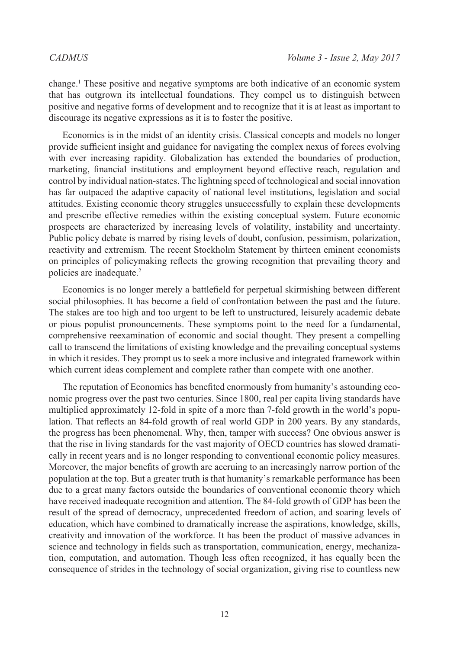change.[1](#page-33-0) These positive and negative symptoms are both indicative of an economic system that has outgrown its intellectual foundations. They compel us to distinguish between positive and negative forms of development and to recognize that it is at least as important to discourage its negative expressions as it is to foster the positive.

Economics is in the midst of an identity crisis. Classical concepts and models no longer provide sufficient insight and guidance for navigating the complex nexus of forces evolving with ever increasing rapidity. Globalization has extended the boundaries of production, marketing, financial institutions and employment beyond effective reach, regulation and control by individual nation-states. The lightning speed of technological and social innovation has far outpaced the adaptive capacity of national level institutions, legislation and social attitudes. Existing economic theory struggles unsuccessfully to explain these developments and prescribe effective remedies within the existing conceptual system. Future economic prospects are characterized by increasing levels of volatility, instability and uncertainty. Public policy debate is marred by rising levels of doubt, confusion, pessimism, polarization, reactivity and extremism. The recent Stockholm Statement by thirteen eminent economists on principles of policymaking reflects the growing recognition that prevailing theory and policies are inadequate[.2](#page-33-1)

Economics is no longer merely a battlefield for perpetual skirmishing between different social philosophies. It has become a field of confrontation between the past and the future. The stakes are too high and too urgent to be left to unstructured, leisurely academic debate or pious populist pronouncements. These symptoms point to the need for a fundamental, comprehensive reexamination of economic and social thought. They present a compelling call to transcend the limitations of existing knowledge and the prevailing conceptual systems in which it resides. They prompt us to seek a more inclusive and integrated framework within which current ideas complement and complete rather than compete with one another.

The reputation of Economics has benefited enormously from humanity's astounding economic progress over the past two centuries. Since 1800, real per capita living standards have multiplied approximately 12-fold in spite of a more than 7-fold growth in the world's population. That reflects an 84-fold growth of real world GDP in 200 years. By any standards, the progress has been phenomenal. Why, then, tamper with success? One obvious answer is that the rise in living standards for the vast majority of OECD countries has slowed dramatically in recent years and is no longer responding to conventional economic policy measures. Moreover, the major benefits of growth are accruing to an increasingly narrow portion of the population at the top. But a greater truth is that humanity's remarkable performance has been due to a great many factors outside the boundaries of conventional economic theory which have received inadequate recognition and attention. The 84-fold growth of GDP has been the result of the spread of democracy, unprecedented freedom of action, and soaring levels of education, which have combined to dramatically increase the aspirations, knowledge, skills, creativity and innovation of the workforce. It has been the product of massive advances in science and technology in fields such as transportation, communication, energy, mechanization, computation, and automation. Though less often recognized, it has equally been the consequence of strides in the technology of social organization, giving rise to countless new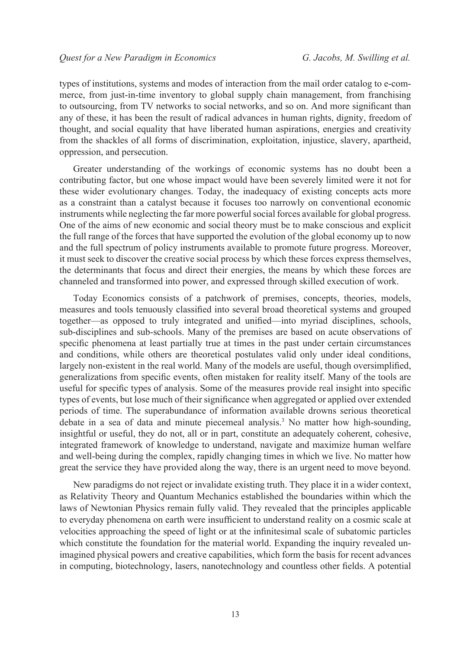types of institutions, systems and modes of interaction from the mail order catalog to e-commerce, from just-in-time inventory to global supply chain management, from franchising to outsourcing, from TV networks to social networks, and so on. And more significant than any of these, it has been the result of radical advances in human rights, dignity, freedom of thought, and social equality that have liberated human aspirations, energies and creativity from the shackles of all forms of discrimination, exploitation, injustice, slavery, apartheid, oppression, and persecution.

Greater understanding of the workings of economic systems has no doubt been a contributing factor, but one whose impact would have been severely limited were it not for these wider evolutionary changes. Today, the inadequacy of existing concepts acts more as a constraint than a catalyst because it focuses too narrowly on conventional economic instruments while neglecting the far more powerful social forces available for global progress. One of the aims of new economic and social theory must be to make conscious and explicit the full range of the forces that have supported the evolution of the global economy up to now and the full spectrum of policy instruments available to promote future progress. Moreover, it must seek to discover the creative social process by which these forces express themselves, the determinants that focus and direct their energies, the means by which these forces are channeled and transformed into power, and expressed through skilled execution of work.

Today Economics consists of a patchwork of premises, concepts, theories, models, measures and tools tenuously classified into several broad theoretical systems and grouped together—as opposed to truly integrated and unified—into myriad disciplines, schools, sub-disciplines and sub-schools. Many of the premises are based on acute observations of specific phenomena at least partially true at times in the past under certain circumstances and conditions, while others are theoretical postulates valid only under ideal conditions, largely non-existent in the real world. Many of the models are useful, though oversimplified, generalizations from specific events, often mistaken for reality itself. Many of the tools are useful for specific types of analysis. Some of the measures provide real insight into specific types of events, but lose much of their significance when aggregated or applied over extended periods of time. The superabundance of information available drowns serious theoretical debate in a sea of data and minute piecemeal analysis.<sup>3</sup> No matter how high-sounding, insightful or useful, they do not, all or in part, constitute an adequately coherent, cohesive, integrated framework of knowledge to understand, navigate and maximize human welfare and well-being during the complex, rapidly changing times in which we live. No matter how great the service they have provided along the way, there is an urgent need to move beyond.

New paradigms do not reject or invalidate existing truth. They place it in a wider context, as Relativity Theory and Quantum Mechanics established the boundaries within which the laws of Newtonian Physics remain fully valid. They revealed that the principles applicable to everyday phenomena on earth were insufficient to understand reality on a cosmic scale at velocities approaching the speed of light or at the infinitesimal scale of subatomic particles which constitute the foundation for the material world. Expanding the inquiry revealed unimagined physical powers and creative capabilities, which form the basis for recent advances in computing, biotechnology, lasers, nanotechnology and countless other fields. A potential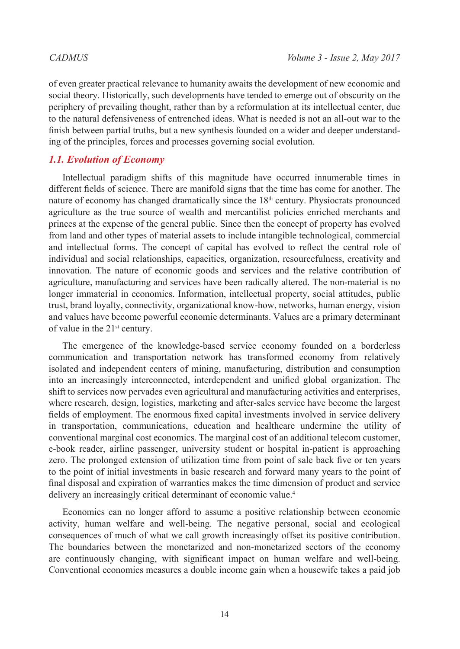of even greater practical relevance to humanity awaits the development of new economic and social theory. Historically, such developments have tended to emerge out of obscurity on the periphery of prevailing thought, rather than by a reformulation at its intellectual center, due to the natural defensiveness of entrenched ideas. What is needed is not an all-out war to the finish between partial truths, but a new synthesis founded on a wider and deeper understanding of the principles, forces and processes governing social evolution.

# *1.1. Evolution of Economy*

Intellectual paradigm shifts of this magnitude have occurred innumerable times in different fields of science. There are manifold signs that the time has come for another. The nature of economy has changed dramatically since the  $18<sup>th</sup>$  century. Physiocrats pronounced agriculture as the true source of wealth and mercantilist policies enriched merchants and princes at the expense of the general public. Since then the concept of property has evolved from land and other types of material assets to include intangible technological, commercial and intellectual forms. The concept of capital has evolved to reflect the central role of individual and social relationships, capacities, organization, resourcefulness, creativity and innovation. The nature of economic goods and services and the relative contribution of agriculture, manufacturing and services have been radically altered. The non-material is no longer immaterial in economics. Information, intellectual property, social attitudes, public trust, brand loyalty, connectivity, organizational know-how, networks, human energy, vision and values have become powerful economic determinants. Values are a primary determinant of value in the 21<sup>st</sup> century.

The emergence of the knowledge-based service economy founded on a borderless communication and transportation network has transformed economy from relatively isolated and independent centers of mining, manufacturing, distribution and consumption into an increasingly interconnected, interdependent and unified global organization. The shift to services now pervades even agricultural and manufacturing activities and enterprises, where research, design, logistics, marketing and after-sales service have become the largest fields of employment. The enormous fixed capital investments involved in service delivery in transportation, communications, education and healthcare undermine the utility of conventional marginal cost economics. The marginal cost of an additional telecom customer, e-book reader, airline passenger, university student or hospital in-patient is approaching zero. The prolonged extension of utilization time from point of sale back five or ten years to the point of initial investments in basic research and forward many years to the point of final disposal and expiration of warranties makes the time dimension of product and service delivery an increasingly critical determinant of economic value.<sup>4</sup>

Economics can no longer afford to assume a positive relationship between economic activity, human welfare and well-being. The negative personal, social and ecological consequences of much of what we call growth increasingly offset its positive contribution. The boundaries between the monetarized and non-monetarized sectors of the economy are continuously changing, with significant impact on human welfare and well-being. Conventional economics measures a double income gain when a housewife takes a paid job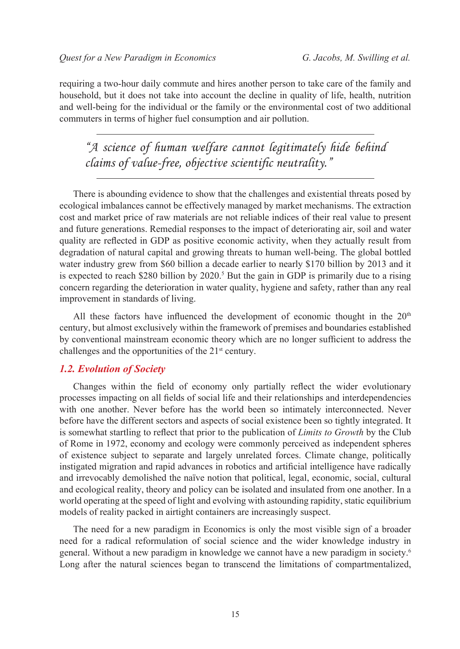requiring a two-hour daily commute and hires another person to take care of the family and household, but it does not take into account the decline in quality of life, health, nutrition and well-being for the individual or the family or the environmental cost of two additional commuters in terms of higher fuel consumption and air pollution.

*"A science of human welfare cannot legitimately hide behind claims of value-free, objective scientific neutrality."*

There is abounding evidence to show that the challenges and existential threats posed by ecological imbalances cannot be effectively managed by market mechanisms. The extraction cost and market price of raw materials are not reliable indices of their real value to present and future generations. Remedial responses to the impact of deteriorating air, soil and water quality are reflected in GDP as positive economic activity, when they actually result from degradation of natural capital and growing threats to human well-being. The global bottled water industry grew from \$60 billion a decade earlier to nearly \$170 billion by 2013 and it is expected to reach \$280 billion by 2020.<sup>5</sup> But the gain in GDP is primarily due to a rising concern regarding the deterioration in water quality, hygiene and safety, rather than any real improvement in standards of living.

All these factors have influenced the development of economic thought in the  $20<sup>th</sup>$ century, but almost exclusively within the framework of premises and boundaries established by conventional mainstream economic theory which are no longer sufficient to address the challenges and the opportunities of the 21<sup>st</sup> century.

# *1.2. Evolution of Society*

Changes within the field of economy only partially reflect the wider evolutionary processes impacting on all fields of social life and their relationships and interdependencies with one another. Never before has the world been so intimately interconnected. Never before have the different sectors and aspects of social existence been so tightly integrated. It is somewhat startling to reflect that prior to the publication of *Limits to Growth* by the Club of Rome in 1972, economy and ecology were commonly perceived as independent spheres of existence subject to separate and largely unrelated forces. Climate change, politically instigated migration and rapid advances in robotics and artificial intelligence have radically and irrevocably demolished the naïve notion that political, legal, economic, social, cultural and ecological reality, theory and policy can be isolated and insulated from one another. In a world operating at the speed of light and evolving with astounding rapidity, static equilibrium models of reality packed in airtight containers are increasingly suspect.

The need for a new paradigm in Economics is only the most visible sign of a broader need for a radical reformulation of social science and the wider knowledge industry in general. Without a new paradigm in knowledge we cannot have a new paradigm in society.[6](#page-34-3) Long after the natural sciences began to transcend the limitations of compartmentalized,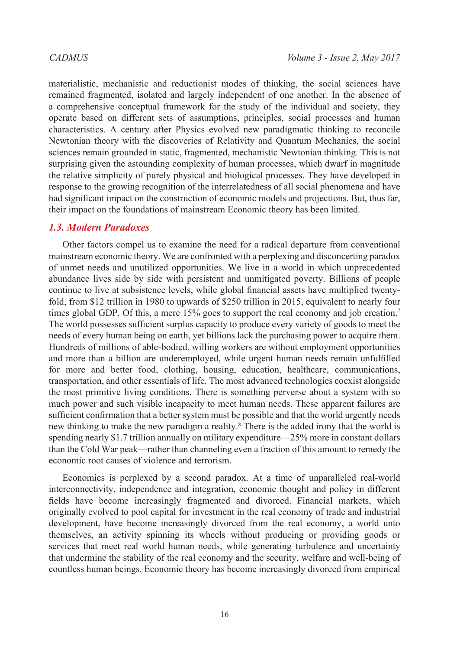materialistic, mechanistic and reductionist modes of thinking, the social sciences have remained fragmented, isolated and largely independent of one another. In the absence of a comprehensive conceptual framework for the study of the individual and society, they operate based on different sets of assumptions, principles, social processes and human characteristics. A century after Physics evolved new paradigmatic thinking to reconcile Newtonian theory with the discoveries of Relativity and Quantum Mechanics, the social sciences remain grounded in static, fragmented, mechanistic Newtonian thinking. This is not surprising given the astounding complexity of human processes, which dwarf in magnitude the relative simplicity of purely physical and biological processes. They have developed in response to the growing recognition of the interrelatedness of all social phenomena and have had significant impact on the construction of economic models and projections. But, thus far, their impact on the foundations of mainstream Economic theory has been limited.

# *1.3. Modern Paradoxes*

Other factors compel us to examine the need for a radical departure from conventional mainstream economic theory. We are confronted with a perplexing and disconcerting paradox of unmet needs and unutilized opportunities. We live in a world in which unprecedented abundance lives side by side with persistent and unmitigated poverty. Billions of people continue to live at subsistence levels, while global financial assets have multiplied twentyfold, from \$12 trillion in 1980 to upwards of \$250 trillion in 2015, equivalent to nearly four times global GDP. Of this, a mere 15% goes to support the real economy and job creation.<sup>[7](#page-34-4)</sup> The world possesses sufficient surplus capacity to produce every variety of goods to meet the needs of every human being on earth, yet billions lack the purchasing power to acquire them. Hundreds of millions of able-bodied, willing workers are without employment opportunities and more than a billion are underemployed, while urgent human needs remain unfulfilled for more and better food, clothing, housing, education, healthcare, communications, transportation, and other essentials of life. The most advanced technologies coexist alongside the most primitive living conditions. There is something perverse about a system with so much power and such visible incapacity to meet human needs. These apparent failures are sufficient confirmation that a better system must be possible and that the world urgently needs new thinking to make the new paradigm a reality.[8](#page-34-5) There is the added irony that the world is spending nearly \$1.7 trillion annually on military expenditure—25% more in constant dollars than the Cold War peak—rather than channeling even a fraction of this amount to remedy the economic root causes of violence and terrorism.

Economics is perplexed by a second paradox. At a time of unparalleled real-world interconnectivity, independence and integration, economic thought and policy in different fields have become increasingly fragmented and divorced. Financial markets, which originally evolved to pool capital for investment in the real economy of trade and industrial development, have become increasingly divorced from the real economy, a world unto themselves, an activity spinning its wheels without producing or providing goods or services that meet real world human needs, while generating turbulence and uncertainty that undermine the stability of the real economy and the security, welfare and well-being of countless human beings. Economic theory has become increasingly divorced from empirical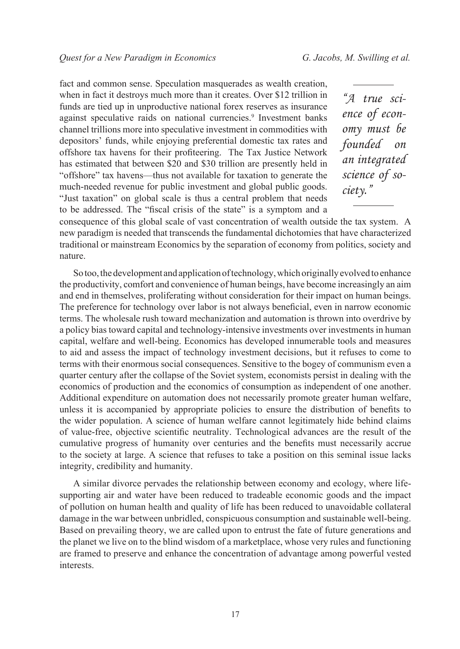fact and common sense. Speculation masquerades as wealth creation, when in fact it destroys much more than it creates. Over \$12 trillion in funds are tied up in unproductive national forex reserves as insurance against speculative raids on national currencies.<sup>9</sup> Investment banks channel trillions more into speculative investment in commodities with depositors' funds, while enjoying preferential domestic tax rates and offshore tax havens for their profiteering. The Tax Justice Network has estimated that between \$20 and \$30 trillion are presently held in "offshore" tax havens—thus not available for taxation to generate the much-needed revenue for public investment and global public goods. "Just taxation" on global scale is thus a central problem that needs to be addressed. The "fiscal crisis of the state" is a symptom and a

*"A true science of economy must be founded on an integrated science of society."*

consequence of this global scale of vast concentration of wealth outside the tax system. A new paradigm is needed that transcends the fundamental dichotomies that have characterized traditional or mainstream Economics by the separation of economy from politics, society and nature.

So too, the development and application of technology, which originally evolved to enhance the productivity, comfort and convenience of human beings, have become increasingly an aim and end in themselves, proliferating without consideration for their impact on human beings. The preference for technology over labor is not always beneficial, even in narrow economic terms. The wholesale rush toward mechanization and automation is thrown into overdrive by a policy bias toward capital and technology-intensive investments over investments in human capital, welfare and well-being. Economics has developed innumerable tools and measures to aid and assess the impact of technology investment decisions, but it refuses to come to terms with their enormous social consequences. Sensitive to the bogey of communism even a quarter century after the collapse of the Soviet system, economists persist in dealing with the economics of production and the economics of consumption as independent of one another. Additional expenditure on automation does not necessarily promote greater human welfare, unless it is accompanied by appropriate policies to ensure the distribution of benefits to the wider population. A science of human welfare cannot legitimately hide behind claims of value-free, objective scientific neutrality. Technological advances are the result of the cumulative progress of humanity over centuries and the benefits must necessarily accrue to the society at large. A science that refuses to take a position on this seminal issue lacks integrity, credibility and humanity.

A similar divorce pervades the relationship between economy and ecology, where lifesupporting air and water have been reduced to tradeable economic goods and the impact of pollution on human health and quality of life has been reduced to unavoidable collateral damage in the war between unbridled, conspicuous consumption and sustainable well-being. Based on prevailing theory, we are called upon to entrust the fate of future generations and the planet we live on to the blind wisdom of a marketplace, whose very rules and functioning are framed to preserve and enhance the concentration of advantage among powerful vested interests.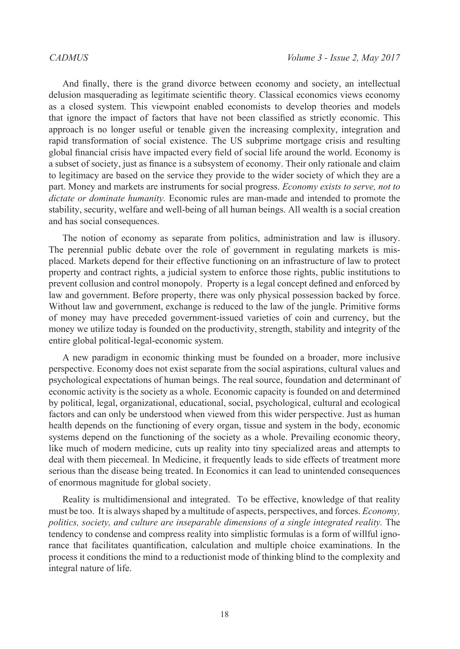And finally, there is the grand divorce between economy and society, an intellectual delusion masquerading as legitimate scientific theory. Classical economics views economy as a closed system. This viewpoint enabled economists to develop theories and models that ignore the impact of factors that have not been classified as strictly economic. This approach is no longer useful or tenable given the increasing complexity, integration and rapid transformation of social existence. The US subprime mortgage crisis and resulting global financial crisis have impacted every field of social life around the world. Economy is a subset of society, just as finance is a subsystem of economy. Their only rationale and claim to legitimacy are based on the service they provide to the wider society of which they are a part. Money and markets are instruments for social progress. *Economy exists to serve, not to dictate or dominate humanity.* Economic rules are man-made and intended to promote the stability, security, welfare and well-being of all human beings. All wealth is a social creation and has social consequences.

The notion of economy as separate from politics, administration and law is illusory. The perennial public debate over the role of government in regulating markets is misplaced. Markets depend for their effective functioning on an infrastructure of law to protect property and contract rights, a judicial system to enforce those rights, public institutions to prevent collusion and control monopoly. Property is a legal concept defined and enforced by law and government. Before property, there was only physical possession backed by force. Without law and government, exchange is reduced to the law of the jungle. Primitive forms of money may have preceded government-issued varieties of coin and currency, but the money we utilize today is founded on the productivity, strength, stability and integrity of the entire global political-legal-economic system.

A new paradigm in economic thinking must be founded on a broader, more inclusive perspective. Economy does not exist separate from the social aspirations, cultural values and psychological expectations of human beings. The real source, foundation and determinant of economic activity is the society as a whole. Economic capacity is founded on and determined by political, legal, organizational, educational, social, psychological, cultural and ecological factors and can only be understood when viewed from this wider perspective. Just as human health depends on the functioning of every organ, tissue and system in the body, economic systems depend on the functioning of the society as a whole. Prevailing economic theory, like much of modern medicine, cuts up reality into tiny specialized areas and attempts to deal with them piecemeal. In Medicine, it frequently leads to side effects of treatment more serious than the disease being treated. In Economics it can lead to unintended consequences of enormous magnitude for global society.

Reality is multidimensional and integrated. To be effective, knowledge of that reality must be too. It is always shaped by a multitude of aspects, perspectives, and forces. *Economy, politics, society, and culture are inseparable dimensions of a single integrated reality.* The tendency to condense and compress reality into simplistic formulas is a form of willful ignorance that facilitates quantification, calculation and multiple choice examinations. In the process it conditions the mind to a reductionist mode of thinking blind to the complexity and integral nature of life.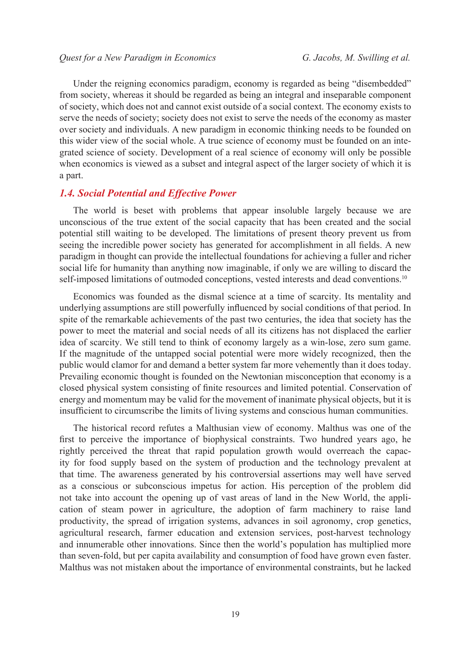Under the reigning economics paradigm, economy is regarded as being "disembedded" from society, whereas it should be regarded as being an integral and inseparable component of society, which does not and cannot exist outside of a social context. The economy exists to serve the needs of society; society does not exist to serve the needs of the economy as master over society and individuals. A new paradigm in economic thinking needs to be founded on this wider view of the social whole. A true science of economy must be founded on an integrated science of society. Development of a real science of economy will only be possible when economics is viewed as a subset and integral aspect of the larger society of which it is a part.

## *1.4. Social Potential and Effective Power*

The world is beset with problems that appear insoluble largely because we are unconscious of the true extent of the social capacity that has been created and the social potential still waiting to be developed. The limitations of present theory prevent us from seeing the incredible power society has generated for accomplishment in all fields. A new paradigm in thought can provide the intellectual foundations for achieving a fuller and richer social life for humanity than anything now imaginable, if only we are willing to discard the self-imposed limitations of outmoded conceptions, vested interests and dead conventions.<sup>[10](#page-34-7)</sup>

Economics was founded as the dismal science at a time of scarcity. Its mentality and underlying assumptions are still powerfully influenced by social conditions of that period. In spite of the remarkable achievements of the past two centuries, the idea that society has the power to meet the material and social needs of all its citizens has not displaced the earlier idea of scarcity. We still tend to think of economy largely as a win-lose, zero sum game. If the magnitude of the untapped social potential were more widely recognized, then the public would clamor for and demand a better system far more vehemently than it does today. Prevailing economic thought is founded on the Newtonian misconception that economy is a closed physical system consisting of finite resources and limited potential. Conservation of energy and momentum may be valid for the movement of inanimate physical objects, but it is insufficient to circumscribe the limits of living systems and conscious human communities.

The historical record refutes a Malthusian view of economy. Malthus was one of the first to perceive the importance of biophysical constraints. Two hundred years ago, he rightly perceived the threat that rapid population growth would overreach the capacity for food supply based on the system of production and the technology prevalent at that time. The awareness generated by his controversial assertions may well have served as a conscious or subconscious impetus for action. His perception of the problem did not take into account the opening up of vast areas of land in the New World, the application of steam power in agriculture, the adoption of farm machinery to raise land productivity, the spread of irrigation systems, advances in soil agronomy, crop genetics, agricultural research, farmer education and extension services, post-harvest technology and innumerable other innovations. Since then the world's population has multiplied more than seven-fold, but per capita availability and consumption of food have grown even faster. Malthus was not mistaken about the importance of environmental constraints, but he lacked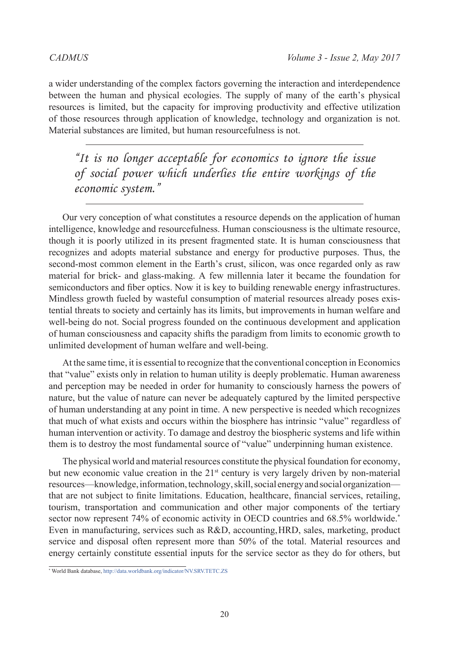a wider understanding of the complex factors governing the interaction and interdependence between the human and physical ecologies. The supply of many of the earth's physical resources is limited, but the capacity for improving productivity and effective utilization of those resources through application of knowledge, technology and organization is not. Material substances are limited, but human resourcefulness is not.

*"It is no longer acceptable for economics to ignore the issue of social power which underlies the entire workings of the economic system."*

Our very conception of what constitutes a resource depends on the application of human intelligence, knowledge and resourcefulness. Human consciousness is the ultimate resource, though it is poorly utilized in its present fragmented state. It is human consciousness that recognizes and adopts material substance and energy for productive purposes. Thus, the second-most common element in the Earth's crust, silicon, was once regarded only as raw material for brick- and glass-making. A few millennia later it became the foundation for semiconductors and fiber optics. Now it is key to building renewable energy infrastructures. Mindless growth fueled by wasteful consumption of material resources already poses existential threats to society and certainly has its limits, but improvements in human welfare and well-being do not. Social progress founded on the continuous development and application of human consciousness and capacity shifts the paradigm from limits to economic growth to unlimited development of human welfare and well-being.

At the same time, it is essential to recognize that the conventional conception in Economics that "value" exists only in relation to human utility is deeply problematic. Human awareness and perception may be needed in order for humanity to consciously harness the powers of nature, but the value of nature can never be adequately captured by the limited perspective of human understanding at any point in time. A new perspective is needed which recognizes that much of what exists and occurs within the biosphere has intrinsic "value" regardless of human intervention or activity. To damage and destroy the biospheric systems and life within them is to destroy the most fundamental source of "value" underpinning human existence.

The physical world and material resources constitute the physical foundation for economy, but new economic value creation in the  $21<sup>st</sup>$  century is very largely driven by non-material resources—knowledge, information, technology, skill, social energy and social organization that are not subject to finite limitations. Education, healthcare, financial services, retailing, tourism, transportation and communication and other major components of the tertiary sector now represent 74% of economic activity in OECD countries and 68.5% worldwide.\* Even in manufacturing, services such as R&D, accounting, HRD, sales, marketing, product service and disposal often represent more than 50% of the total. Material resources and energy certainly constitute essential inputs for the service sector as they do for others, but

<sup>\*</sup> World Bank database, http://data.worldbank.org/indicator/NV.SRV.TETC.ZS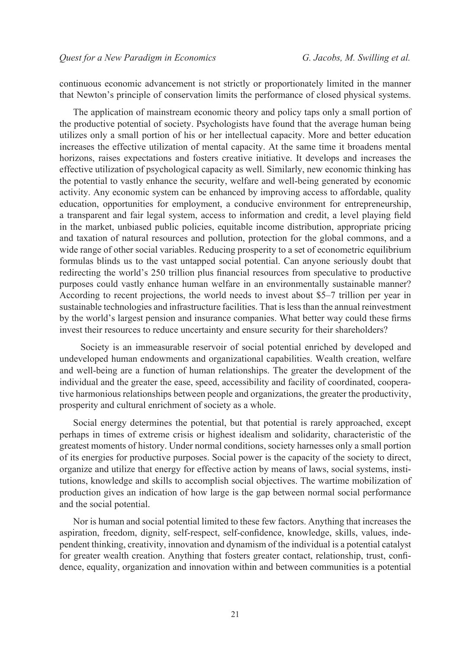continuous economic advancement is not strictly or proportionately limited in the manner that Newton's principle of conservation limits the performance of closed physical systems.

The application of mainstream economic theory and policy taps only a small portion of the productive potential of society. Psychologists have found that the average human being utilizes only a small portion of his or her intellectual capacity. More and better education increases the effective utilization of mental capacity. At the same time it broadens mental horizons, raises expectations and fosters creative initiative. It develops and increases the effective utilization of psychological capacity as well. Similarly, new economic thinking has the potential to vastly enhance the security, welfare and well-being generated by economic activity. Any economic system can be enhanced by improving access to affordable, quality education, opportunities for employment, a conducive environment for entrepreneurship, a transparent and fair legal system, access to information and credit, a level playing field in the market, unbiased public policies, equitable income distribution, appropriate pricing and taxation of natural resources and pollution, protection for the global commons, and a wide range of other social variables. Reducing prosperity to a set of econometric equilibrium formulas blinds us to the vast untapped social potential. Can anyone seriously doubt that redirecting the world's 250 trillion plus financial resources from speculative to productive purposes could vastly enhance human welfare in an environmentally sustainable manner? According to recent projections, the world needs to invest about \$5–7 trillion per year in sustainable technologies and infrastructure facilities. That is less than the annual reinvestment by the world's largest pension and insurance companies. What better way could these firms invest their resources to reduce uncertainty and ensure security for their shareholders?

 Society is an immeasurable reservoir of social potential enriched by developed and undeveloped human endowments and organizational capabilities. Wealth creation, welfare and well-being are a function of human relationships. The greater the development of the individual and the greater the ease, speed, accessibility and facility of coordinated, cooperative harmonious relationships between people and organizations, the greater the productivity, prosperity and cultural enrichment of society as a whole.

Social energy determines the potential, but that potential is rarely approached, except perhaps in times of extreme crisis or highest idealism and solidarity, characteristic of the greatest moments of history. Under normal conditions, society harnesses only a small portion of its energies for productive purposes. Social power is the capacity of the society to direct, organize and utilize that energy for effective action by means of laws, social systems, institutions, knowledge and skills to accomplish social objectives. The wartime mobilization of production gives an indication of how large is the gap between normal social performance and the social potential.

Nor is human and social potential limited to these few factors. Anything that increases the aspiration, freedom, dignity, self-respect, self-confidence, knowledge, skills, values, independent thinking, creativity, innovation and dynamism of the individual is a potential catalyst for greater wealth creation. Anything that fosters greater contact, relationship, trust, confidence, equality, organization and innovation within and between communities is a potential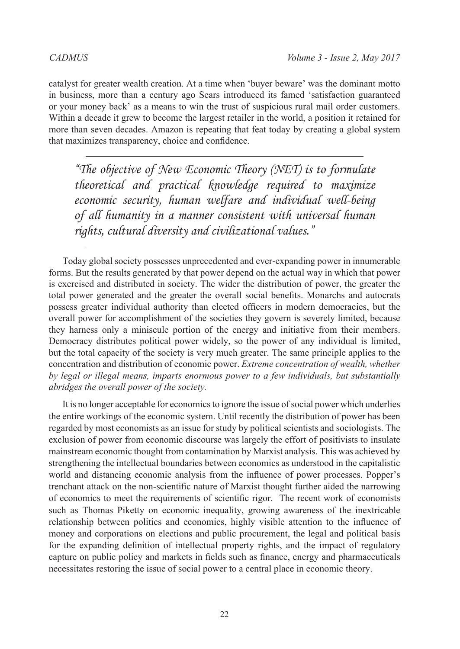catalyst for greater wealth creation. At a time when 'buyer beware' was the dominant motto in business, more than a century ago Sears introduced its famed 'satisfaction guaranteed or your money back' as a means to win the trust of suspicious rural mail order customers. Within a decade it grew to become the largest retailer in the world, a position it retained for more than seven decades. Amazon is repeating that feat today by creating a global system that maximizes transparency, choice and confidence.

*"The objective of New Economic Theory (NET) is to formulate theoretical and practical knowledge required to maximize economic security, human welfare and individual well-being of all humanity in a manner consistent with universal human rights, cultural diversity and civilizational values."*

Today global society possesses unprecedented and ever-expanding power in innumerable forms. But the results generated by that power depend on the actual way in which that power is exercised and distributed in society. The wider the distribution of power, the greater the total power generated and the greater the overall social benefits. Monarchs and autocrats possess greater individual authority than elected officers in modern democracies, but the overall power for accomplishment of the societies they govern is severely limited, because they harness only a miniscule portion of the energy and initiative from their members. Democracy distributes political power widely, so the power of any individual is limited, but the total capacity of the society is very much greater. The same principle applies to the concentration and distribution of economic power. *Extreme concentration of wealth, whether by legal or illegal means, imparts enormous power to a few individuals, but substantially abridges the overall power of the society.*

It is no longer acceptable for economics to ignore the issue of social power which underlies the entire workings of the economic system. Until recently the distribution of power has been regarded by most economists as an issue for study by political scientists and sociologists. The exclusion of power from economic discourse was largely the effort of positivists to insulate mainstream economic thought from contamination by Marxist analysis. This was achieved by strengthening the intellectual boundaries between economics as understood in the capitalistic world and distancing economic analysis from the influence of power processes. Popper's trenchant attack on the non-scientific nature of Marxist thought further aided the narrowing of economics to meet the requirements of scientific rigor. The recent work of economists such as Thomas Piketty on economic inequality, growing awareness of the inextricable relationship between politics and economics, highly visible attention to the influence of money and corporations on elections and public procurement, the legal and political basis for the expanding definition of intellectual property rights, and the impact of regulatory capture on public policy and markets in fields such as finance, energy and pharmaceuticals necessitates restoring the issue of social power to a central place in economic theory.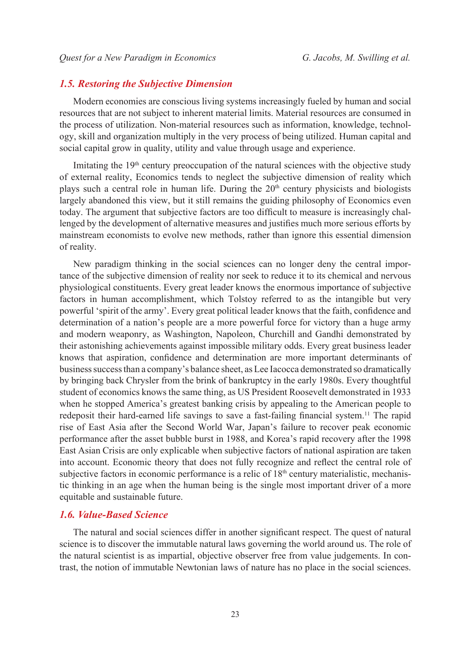# *1.5. Restoring the Subjective Dimension*

Modern economies are conscious living systems increasingly fueled by human and social resources that are not subject to inherent material limits. Material resources are consumed in the process of utilization. Non-material resources such as information, knowledge, technology, skill and organization multiply in the very process of being utilized. Human capital and social capital grow in quality, utility and value through usage and experience.

Imitating the  $19<sup>th</sup>$  century preoccupation of the natural sciences with the objective study of external reality, Economics tends to neglect the subjective dimension of reality which plays such a central role in human life. During the  $20<sup>th</sup>$  century physicists and biologists largely abandoned this view, but it still remains the guiding philosophy of Economics even today. The argument that subjective factors are too difficult to measure is increasingly challenged by the development of alternative measures and justifies much more serious efforts by mainstream economists to evolve new methods, rather than ignore this essential dimension of reality.

New paradigm thinking in the social sciences can no longer deny the central importance of the subjective dimension of reality nor seek to reduce it to its chemical and nervous physiological constituents. Every great leader knows the enormous importance of subjective factors in human accomplishment, which Tolstoy referred to as the intangible but very powerful 'spirit of the army'. Every great political leader knows that the faith, confidence and determination of a nation's people are a more powerful force for victory than a huge army and modern weaponry, as Washington, Napoleon, Churchill and Gandhi demonstrated by their astonishing achievements against impossible military odds. Every great business leader knows that aspiration, confidence and determination are more important determinants of business success than a company's balance sheet, as Lee Iacocca demonstrated so dramatically by bringing back Chrysler from the brink of bankruptcy in the early 1980s. Every thoughtful student of economics knows the same thing, as US President Roosevelt demonstrated in 1933 when he stopped America's greatest banking crisis by appealing to the American people to redeposit their hard-earned life savings to save a fast-failing financial system.<sup>[11](#page-34-8)</sup> The rapid rise of East Asia after the Second World War, Japan's failure to recover peak economic performance after the asset bubble burst in 1988, and Korea's rapid recovery after the 1998 East Asian Crisis are only explicable when subjective factors of national aspiration are taken into account. Economic theory that does not fully recognize and reflect the central role of subjective factors in economic performance is a relic of  $18<sup>th</sup>$  century materialistic, mechanistic thinking in an age when the human being is the single most important driver of a more equitable and sustainable future.

#### *1.6. Value-Based Science*

The natural and social sciences differ in another significant respect. The quest of natural science is to discover the immutable natural laws governing the world around us. The role of the natural scientist is as impartial, objective observer free from value judgements. In contrast, the notion of immutable Newtonian laws of nature has no place in the social sciences.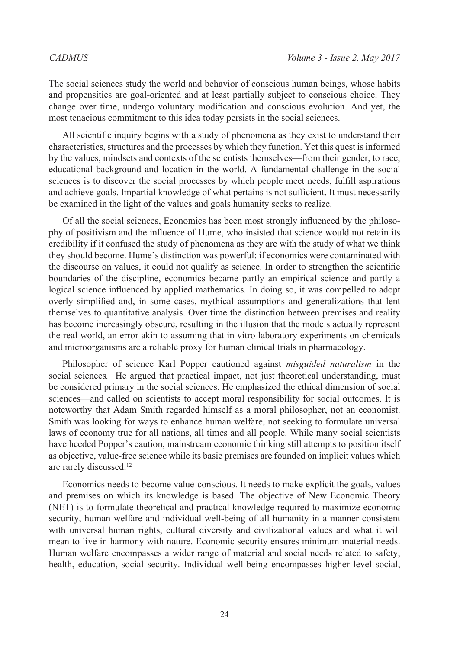The social sciences study the world and behavior of conscious human beings, whose habits and propensities are goal-oriented and at least partially subject to conscious choice. They change over time, undergo voluntary modification and conscious evolution. And yet, the most tenacious commitment to this idea today persists in the social sciences.

All scientific inquiry begins with a study of phenomena as they exist to understand their characteristics, structures and the processes by which they function. Yet this quest is informed by the values, mindsets and contexts of the scientists themselves—from their gender, to race, educational background and location in the world. A fundamental challenge in the social sciences is to discover the social processes by which people meet needs, fulfill aspirations and achieve goals. Impartial knowledge of what pertains is not sufficient. It must necessarily be examined in the light of the values and goals humanity seeks to realize.

Of all the social sciences, Economics has been most strongly influenced by the philosophy of positivism and the influence of Hume, who insisted that science would not retain its credibility if it confused the study of phenomena as they are with the study of what we think they should become. Hume's distinction was powerful: if economics were contaminated with the discourse on values, it could not qualify as science. In order to strengthen the scientific boundaries of the discipline, economics became partly an empirical science and partly a logical science influenced by applied mathematics. In doing so, it was compelled to adopt overly simplified and, in some cases, mythical assumptions and generalizations that lent themselves to quantitative analysis. Over time the distinction between premises and reality has become increasingly obscure, resulting in the illusion that the models actually represent the real world, an error akin to assuming that in vitro laboratory experiments on chemicals and microorganisms are a reliable proxy for human clinical trials in pharmacology.

Philosopher of science Karl Popper cautioned against *misguided naturalism* in the social sciences*.* He argued that practical impact, not just theoretical understanding, must be considered primary in the social sciences. He emphasized the ethical dimension of social sciences—and called on scientists to accept moral responsibility for social outcomes. It is noteworthy that Adam Smith regarded himself as a moral philosopher, not an economist. Smith was looking for ways to enhance human welfare, not seeking to formulate universal laws of economy true for all nations, all times and all people. While many social scientists have heeded Popper's caution, mainstream economic thinking still attempts to position itself as objective, value-free science while its basic premises are founded on implicit values which are rarely discussed[.12](#page-34-9)

Economics needs to become value-conscious. It needs to make explicit the goals, values and premises on which its knowledge is based. The objective of New Economic Theory (NET) is to formulate theoretical and practical knowledge required to maximize economic security, human welfare and individual well-being of all humanity in a manner consistent with universal human rights, cultural diversity and civilizational values and what it will mean to live in harmony with nature. Economic security ensures minimum material needs. Human welfare encompasses a wider range of material and social needs related to safety, health, education, social security. Individual well-being encompasses higher level social,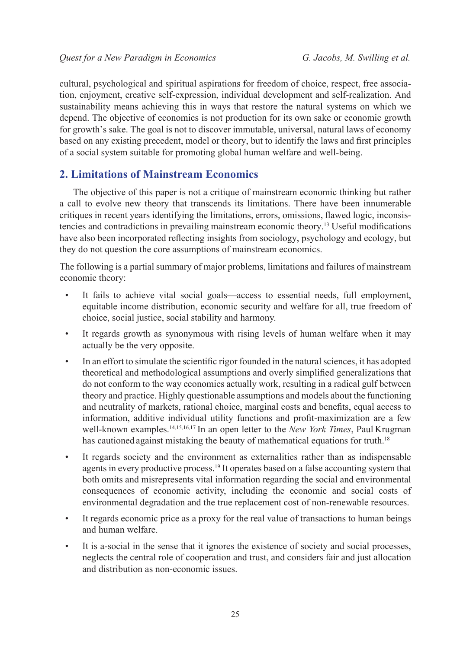cultural, psychological and spiritual aspirations for freedom of choice, respect, free association, enjoyment, creative self-expression, individual development and self-realization. And sustainability means achieving this in ways that restore the natural systems on which we depend. The objective of economics is not production for its own sake or economic growth for growth's sake. The goal is not to discover immutable, universal, natural laws of economy based on any existing precedent, model or theory, but to identify the laws and first principles of a social system suitable for promoting global human welfare and well-being.

# **2. Limitations of Mainstream Economics**

The objective of this paper is not a critique of mainstream economic thinking but rather a call to evolve new theory that transcends its limitations. There have been innumerable critiques in recent years identifying the limitations, errors, omissions, flawed logic, inconsistencies and contradictions in prevailing mainstream economic theory[.13](#page-34-10) Useful modifications have also been incorporated reflecting insights from sociology, psychology and ecology, but they do not question the core assumptions of mainstream economics.

The following is a partial summary of major problems, limitations and failures of mainstream economic theory:

- It fails to achieve vital social goals—access to essential needs, full employment, equitable income distribution, economic security and welfare for all, true freedom of choice, social justice, social stability and harmony.
- It regards growth as synonymous with rising levels of human welfare when it may actually be the very opposite.
- In an effort to simulate the scientific rigor founded in the natural sciences, it has adopted theoretical and methodological assumptions and overly simplified generalizations that do not conform to the way economies actually work, resulting in a radical gulf between theory and practice. Highly questionable assumptions and models about the functioning and neutrality of markets, rational choice, marginal costs and benefits, equal access to information, additive individual utility functions and profit-maximization are a few well-known examples[.14](#page-34-11),[15,](#page-34-12)[16](#page-34-13)[,17](#page-34-14) In an open letter to the *New York Times*, Paul Krugman has cautioned against mistaking the beauty of mathematical equations for truth.<sup>[18](#page-34-15)</sup>
- It regards society and the environment as externalities rather than as indispensable agents in every productive process[.19](#page-34-16) It operates based on a false accounting system that both omits and misrepresents vital information regarding the social and environmental consequences of economic activity, including the economic and social costs of environmental degradation and the true replacement cost of non-renewable resources.
- It regards economic price as a proxy for the real value of transactions to human beings and human welfare.
- It is a-social in the sense that it ignores the existence of society and social processes, neglects the central role of cooperation and trust, and considers fair and just allocation and distribution as non-economic issues.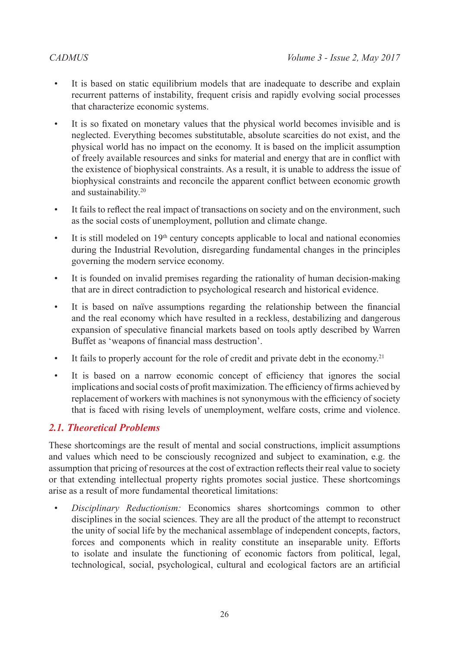- It is based on static equilibrium models that are inadequate to describe and explain recurrent patterns of instability, frequent crisis and rapidly evolving social processes that characterize economic systems.
- It is so fixated on monetary values that the physical world becomes invisible and is neglected. Everything becomes substitutable, absolute scarcities do not exist, and the physical world has no impact on the economy. It is based on the implicit assumption of freely available resources and sinks for material and energy that are in conflict with the existence of biophysical constraints. As a result, it is unable to address the issue of biophysical constraints and reconcile the apparent conflict between economic growth and sustainability[.20](#page-34-17)
- It fails to reflect the real impact of transactions on society and on the environment, such as the social costs of unemployment, pollution and climate change.
- $\bullet$  It is still modeled on 19<sup>th</sup> century concepts applicable to local and national economies during the Industrial Revolution, disregarding fundamental changes in the principles governing the modern service economy.
- It is founded on invalid premises regarding the rationality of human decision-making that are in direct contradiction to psychological research and historical evidence.
- It is based on naïve assumptions regarding the relationship between the financial and the real economy which have resulted in a reckless, destabilizing and dangerous expansion of speculative financial markets based on tools aptly described by Warren Buffet as 'weapons of financial mass destruction'.
- It fails to properly account for the role of credit and private debt in the economy.<sup>[21](#page-34-18)</sup>
- It is based on a narrow economic concept of efficiency that ignores the social implications and social costs of profit maximization. The efficiency of firms achieved by replacement of workers with machines is not synonymous with the efficiency of society that is faced with rising levels of unemployment, welfare costs, crime and violence.

# *2.1. Theoretical Problems*

These shortcomings are the result of mental and social constructions, implicit assumptions and values which need to be consciously recognized and subject to examination, e.g. the assumption that pricing of resources at the cost of extraction reflects their real value to society or that extending intellectual property rights promotes social justice. These shortcomings arise as a result of more fundamental theoretical limitations:

• *Disciplinary Reductionism:* Economics shares shortcomings common to other disciplines in the social sciences. They are all the product of the attempt to reconstruct the unity of social life by the mechanical assemblage of independent concepts, factors, forces and components which in reality constitute an inseparable unity. Efforts to isolate and insulate the functioning of economic factors from political, legal, technological, social, psychological, cultural and ecological factors are an artificial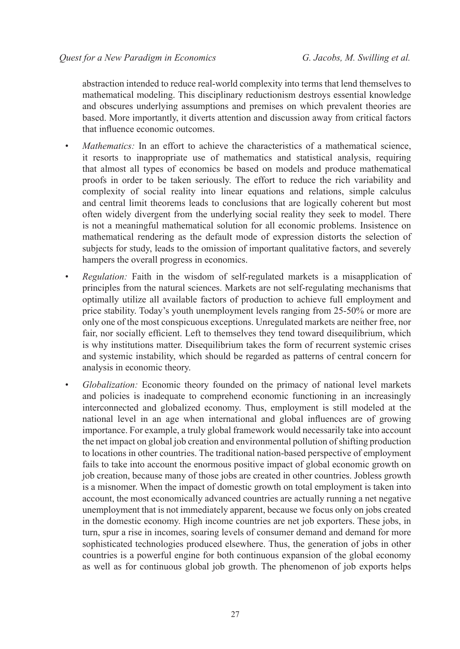abstraction intended to reduce real-world complexity into terms that lend themselves to mathematical modeling. This disciplinary reductionism destroys essential knowledge and obscures underlying assumptions and premises on which prevalent theories are based. More importantly, it diverts attention and discussion away from critical factors that influence economic outcomes.

- *Mathematics:* In an effort to achieve the characteristics of a mathematical science, it resorts to inappropriate use of mathematics and statistical analysis, requiring that almost all types of economics be based on models and produce mathematical proofs in order to be taken seriously. The effort to reduce the rich variability and complexity of social reality into linear equations and relations, simple calculus and central limit theorems leads to conclusions that are logically coherent but most often widely divergent from the underlying social reality they seek to model. There is not a meaningful mathematical solution for all economic problems. Insistence on mathematical rendering as the default mode of expression distorts the selection of subjects for study, leads to the omission of important qualitative factors, and severely hampers the overall progress in economics.
- *Regulation:* Faith in the wisdom of self-regulated markets is a misapplication of principles from the natural sciences. Markets are not self-regulating mechanisms that optimally utilize all available factors of production to achieve full employment and price stability. Today's youth unemployment levels ranging from 25-50% or more are only one of the most conspicuous exceptions. Unregulated markets are neither free, nor fair, nor socially efficient. Left to themselves they tend toward disequilibrium, which is why institutions matter. Disequilibrium takes the form of recurrent systemic crises and systemic instability, which should be regarded as patterns of central concern for analysis in economic theory.
- *Globalization:* Economic theory founded on the primacy of national level markets and policies is inadequate to comprehend economic functioning in an increasingly interconnected and globalized economy. Thus, employment is still modeled at the national level in an age when international and global influences are of growing importance. For example, a truly global framework would necessarily take into account the net impact on global job creation and environmental pollution of shifting production to locations in other countries. The traditional nation-based perspective of employment fails to take into account the enormous positive impact of global economic growth on job creation, because many of those jobs are created in other countries. Jobless growth is a misnomer. When the impact of domestic growth on total employment is taken into account, the most economically advanced countries are actually running a net negative unemployment that is not immediately apparent, because we focus only on jobs created in the domestic economy. High income countries are net job exporters. These jobs, in turn, spur a rise in incomes, soaring levels of consumer demand and demand for more sophisticated technologies produced elsewhere. Thus, the generation of jobs in other countries is a powerful engine for both continuous expansion of the global economy as well as for continuous global job growth. The phenomenon of job exports helps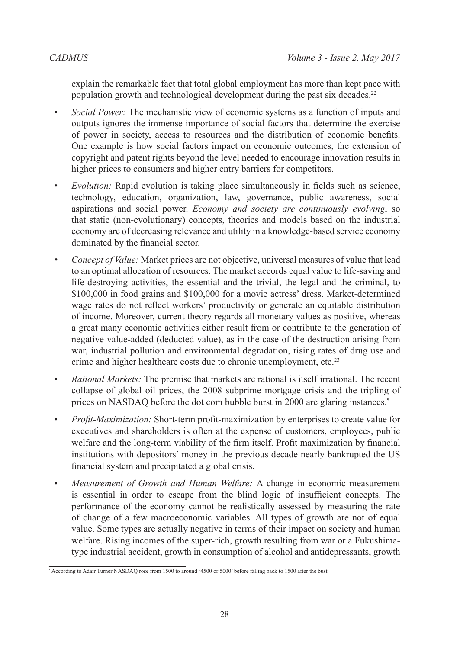explain the remarkable fact that total global employment has more than kept pace with population growth and technological development during the past six decades.<sup>[22](#page-34-19)</sup>

- *Social Power:* The mechanistic view of economic systems as a function of inputs and outputs ignores the immense importance of social factors that determine the exercise of power in society, access to resources and the distribution of economic benefits. One example is how social factors impact on economic outcomes, the extension of copyright and patent rights beyond the level needed to encourage innovation results in higher prices to consumers and higher entry barriers for competitors.
- *Evolution:* Rapid evolution is taking place simultaneously in fields such as science, technology, education, organization, law, governance, public awareness, social aspirations and social power. *Economy and society are continuously evolving*, so that static (non-evolutionary) concepts, theories and models based on the industrial economy are of decreasing relevance and utility in a knowledge-based service economy dominated by the financial sector.
- *Concept of Value:* Market prices are not objective, universal measures of value that lead to an optimal allocation of resources. The market accords equal value to life-saving and life-destroying activities, the essential and the trivial, the legal and the criminal, to \$100,000 in food grains and \$100,000 for a movie actress' dress. Market-determined wage rates do not reflect workers' productivity or generate an equitable distribution of income. Moreover, current theory regards all monetary values as positive, whereas a great many economic activities either result from or contribute to the generation of negative value-added (deducted value), as in the case of the destruction arising from war, industrial pollution and environmental degradation, rising rates of drug use and crime and higher healthcare costs due to chronic unemployment, etc.<sup>23</sup>
- *Rational Markets:* The premise that markets are rational is itself irrational. The recent collapse of global oil prices, the 2008 subprime mortgage crisis and the tripling of prices on NASDAQ before the dot com bubble burst in 2000 are glaring instances.\*
- *Profit-Maximization:* Short-term profit-maximization by enterprises to create value for executives and shareholders is often at the expense of customers, employees, public welfare and the long-term viability of the firm itself. Profit maximization by financial institutions with depositors' money in the previous decade nearly bankrupted the US financial system and precipitated a global crisis.
- *Measurement of Growth and Human Welfare:* A change in economic measurement is essential in order to escape from the blind logic of insufficient concepts. The performance of the economy cannot be realistically assessed by measuring the rate of change of a few macroeconomic variables. All types of growth are not of equal value. Some types are actually negative in terms of their impact on society and human welfare. Rising incomes of the super-rich, growth resulting from war or a Fukushimatype industrial accident, growth in consumption of alcohol and antidepressants, growth

<sup>\*</sup> According to Adair Turner NASDAQ rose from 1500 to around '4500 or 5000' before falling back to 1500 after the bust.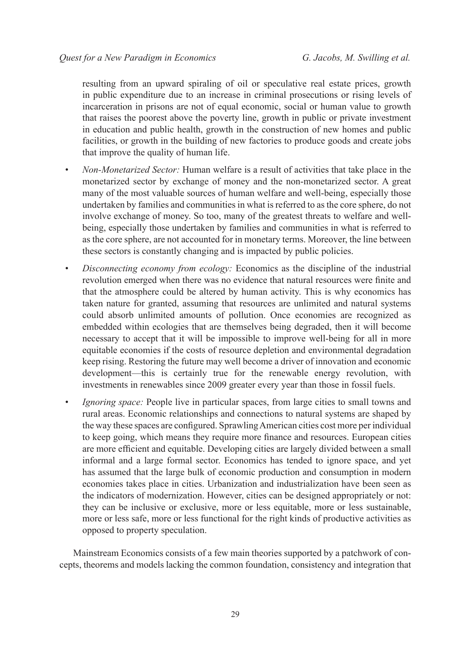resulting from an upward spiraling of oil or speculative real estate prices, growth in public expenditure due to an increase in criminal prosecutions or rising levels of incarceration in prisons are not of equal economic, social or human value to growth that raises the poorest above the poverty line, growth in public or private investment in education and public health, growth in the construction of new homes and public facilities, or growth in the building of new factories to produce goods and create jobs that improve the quality of human life.

- *Non-Monetarized Sector:* Human welfare is a result of activities that take place in the monetarized sector by exchange of money and the non-monetarized sector. A great many of the most valuable sources of human welfare and well-being, especially those undertaken by families and communities in what is referred to as the core sphere, do not involve exchange of money. So too, many of the greatest threats to welfare and wellbeing, especially those undertaken by families and communities in what is referred to as the core sphere, are not accounted for in monetary terms. Moreover, the line between these sectors is constantly changing and is impacted by public policies.
- *Disconnecting economy from ecology:* Economics as the discipline of the industrial revolution emerged when there was no evidence that natural resources were finite and that the atmosphere could be altered by human activity. This is why economics has taken nature for granted, assuming that resources are unlimited and natural systems could absorb unlimited amounts of pollution. Once economies are recognized as embedded within ecologies that are themselves being degraded, then it will become necessary to accept that it will be impossible to improve well-being for all in more equitable economies if the costs of resource depletion and environmental degradation keep rising. Restoring the future may well become a driver of innovation and economic development—this is certainly true for the renewable energy revolution, with investments in renewables since 2009 greater every year than those in fossil fuels.
- *Ignoring space:* People live in particular spaces, from large cities to small towns and rural areas. Economic relationships and connections to natural systems are shaped by the way these spaces are configured. Sprawling American cities cost more per individual to keep going, which means they require more finance and resources. European cities are more efficient and equitable. Developing cities are largely divided between a small informal and a large formal sector. Economics has tended to ignore space, and yet has assumed that the large bulk of economic production and consumption in modern economies takes place in cities. Urbanization and industrialization have been seen as the indicators of modernization. However, cities can be designed appropriately or not: they can be inclusive or exclusive, more or less equitable, more or less sustainable, more or less safe, more or less functional for the right kinds of productive activities as opposed to property speculation.

Mainstream Economics consists of a few main theories supported by a patchwork of concepts, theorems and models lacking the common foundation, consistency and integration that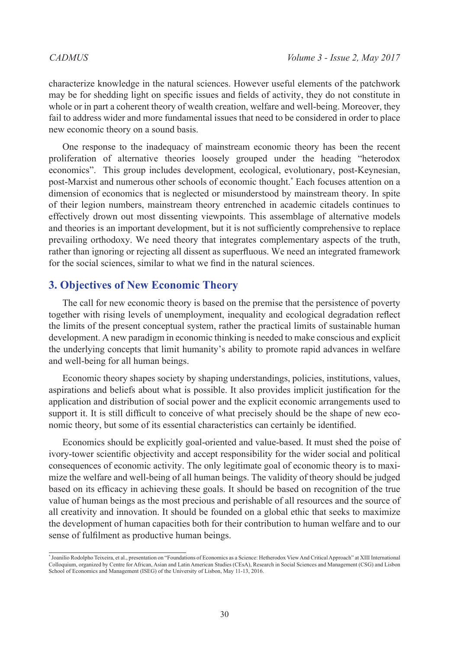characterize knowledge in the natural sciences. However useful elements of the patchwork may be for shedding light on specific issues and fields of activity, they do not constitute in whole or in part a coherent theory of wealth creation, welfare and well-being. Moreover, they fail to address wider and more fundamental issues that need to be considered in order to place new economic theory on a sound basis.

One response to the inadequacy of mainstream economic theory has been the recent proliferation of alternative theories loosely grouped under the heading "heterodox economics". This group includes development, ecological, evolutionary, post-Keynesian, post-Marxist and numerous other schools of economic thought.\* Each focuses attention on a dimension of economics that is neglected or misunderstood by mainstream theory. In spite of their legion numbers, mainstream theory entrenched in academic citadels continues to effectively drown out most dissenting viewpoints. This assemblage of alternative models and theories is an important development, but it is not sufficiently comprehensive to replace prevailing orthodoxy. We need theory that integrates complementary aspects of the truth, rather than ignoring or rejecting all dissent as superfluous. We need an integrated framework for the social sciences, similar to what we find in the natural sciences.

# **3. Objectives of New Economic Theory**

The call for new economic theory is based on the premise that the persistence of poverty together with rising levels of unemployment, inequality and ecological degradation reflect the limits of the present conceptual system, rather the practical limits of sustainable human development. A new paradigm in economic thinking is needed to make conscious and explicit the underlying concepts that limit humanity's ability to promote rapid advances in welfare and well-being for all human beings.

Economic theory shapes society by shaping understandings, policies, institutions, values, aspirations and beliefs about what is possible. It also provides implicit justification for the application and distribution of social power and the explicit economic arrangements used to support it. It is still difficult to conceive of what precisely should be the shape of new economic theory, but some of its essential characteristics can certainly be identified.

Economics should be explicitly goal-oriented and value-based. It must shed the poise of ivory-tower scientific objectivity and accept responsibility for the wider social and political consequences of economic activity. The only legitimate goal of economic theory is to maximize the welfare and well-being of all human beings. The validity of theory should be judged based on its efficacy in achieving these goals. It should be based on recognition of the true value of human beings as the most precious and perishable of all resources and the source of all creativity and innovation. It should be founded on a global ethic that seeks to maximize the development of human capacities both for their contribution to human welfare and to our sense of fulfilment as productive human beings.

<sup>\*</sup> Joanilio Rodolpho Teixeira, et al., presentation on "Foundations of Economics as a Science: Hetherodox View And Critical Approach" at XIII International Colloquium, organized by Centre for African, Asian and Latin American Studies (CEsA), Research in Social Sciences and Management (CSG) and Lisbon School of Economics and Management (ISEG) of the University of Lisbon, May 11-13, 2016.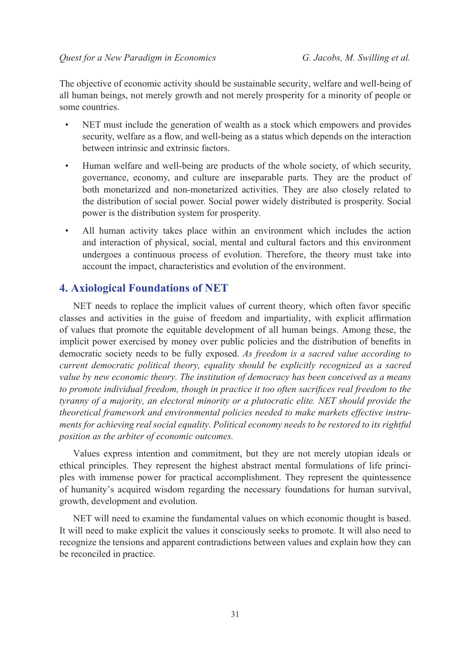The objective of economic activity should be sustainable security, welfare and well-being of all human beings, not merely growth and not merely prosperity for a minority of people or some countries.

- NET must include the generation of wealth as a stock which empowers and provides security, welfare as a flow, and well-being as a status which depends on the interaction between intrinsic and extrinsic factors.
- Human welfare and well-being are products of the whole society, of which security, governance, economy, and culture are inseparable parts. They are the product of both monetarized and non-monetarized activities. They are also closely related to the distribution of social power. Social power widely distributed is prosperity. Social power is the distribution system for prosperity.
- All human activity takes place within an environment which includes the action and interaction of physical, social, mental and cultural factors and this environment undergoes a continuous process of evolution. Therefore, the theory must take into account the impact, characteristics and evolution of the environment.

# **4. Axiological Foundations of NET**

NET needs to replace the implicit values of current theory, which often favor specific classes and activities in the guise of freedom and impartiality, with explicit affirmation of values that promote the equitable development of all human beings. Among these, the implicit power exercised by money over public policies and the distribution of benefits in democratic society needs to be fully exposed. *As freedom is a sacred value according to current democratic political theory, equality should be explicitly recognized as a sacred value by new economic theory. The institution of democracy has been conceived as a means to promote individual freedom, though in practice it too often sacrifices real freedom to the tyranny of a majority, an electoral minority or a plutocratic elite. NET should provide the theoretical framework and environmental policies needed to make markets effective instruments for achieving real social equality. Political economy needs to be restored to its rightful position as the arbiter of economic outcomes.*

Values express intention and commitment, but they are not merely utopian ideals or ethical principles. They represent the highest abstract mental formulations of life principles with immense power for practical accomplishment. They represent the quintessence of humanity's acquired wisdom regarding the necessary foundations for human survival, growth, development and evolution.

NET will need to examine the fundamental values on which economic thought is based. It will need to make explicit the values it consciously seeks to promote. It will also need to recognize the tensions and apparent contradictions between values and explain how they can be reconciled in practice.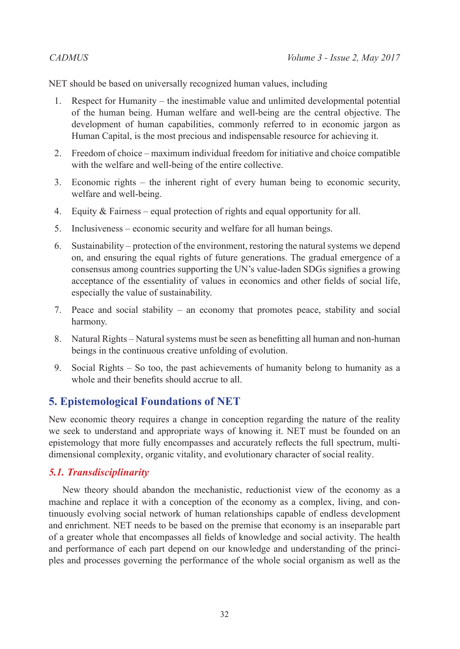NET should be based on universally recognized human values, including

- 1. Respect for Humanity the inestimable value and unlimited developmental potential of the human being. Human welfare and well-being are the central objective. The development of human capabilities, commonly referred to in economic jargon as Human Capital, is the most precious and indispensable resource for achieving it.
- 2. Freedom of choice maximum individual freedom for initiative and choice compatible with the welfare and well-being of the entire collective.
- 3. Economic rights the inherent right of every human being to economic security, welfare and well-being.
- 4. Equity & Fairness equal protection of rights and equal opportunity for all.
- 5. Inclusiveness economic security and welfare for all human beings.
- 6. Sustainability protection of the environment, restoring the natural systems we depend on, and ensuring the equal rights of future generations. The gradual emergence of a consensus among countries supporting the UN's value-laden SDGs signifies a growing acceptance of the essentiality of values in economics and other fields of social life, especially the value of sustainability.
- 7. Peace and social stability an economy that promotes peace, stability and social harmony.
- 8. Natural Rights Natural systems must be seen as benefitting all human and non-human beings in the continuous creative unfolding of evolution.
- 9. Social Rights So too, the past achievements of humanity belong to humanity as a whole and their benefits should accrue to all.

# **5. Epistemological Foundations of NET**

New economic theory requires a change in conception regarding the nature of the reality we seek to understand and appropriate ways of knowing it. NET must be founded on an epistemology that more fully encompasses and accurately reflects the full spectrum, multidimensional complexity, organic vitality, and evolutionary character of social reality.

# *5.1. Transdisciplinarity*

New theory should abandon the mechanistic, reductionist view of the economy as a machine and replace it with a conception of the economy as a complex, living, and continuously evolving social network of human relationships capable of endless development and enrichment. NET needs to be based on the premise that economy is an inseparable part of a greater whole that encompasses all fields of knowledge and social activity. The health and performance of each part depend on our knowledge and understanding of the principles and processes governing the performance of the whole social organism as well as the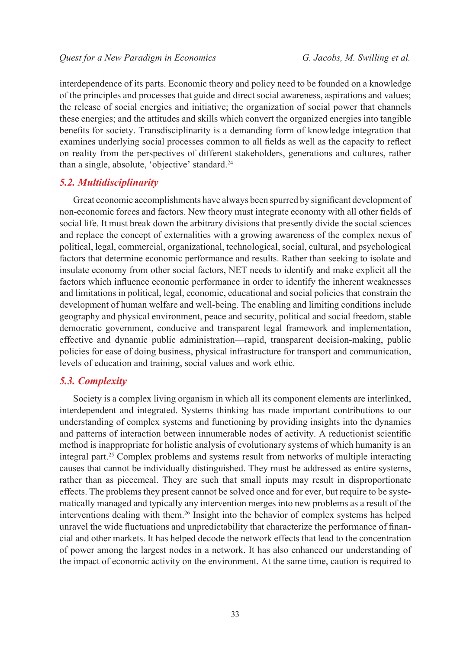interdependence of its parts. Economic theory and policy need to be founded on a knowledge of the principles and processes that guide and direct social awareness, aspirations and values; the release of social energies and initiative; the organization of social power that channels these energies; and the attitudes and skills which convert the organized energies into tangible benefits for society. Transdisciplinarity is a demanding form of knowledge integration that examines underlying social processes common to all fields as well as the capacity to reflect on reality from the perspectives of different stakeholders, generations and cultures, rather than a single, absolute, 'objective' standard[.24](#page-34-21)

# *5.2. Multidisciplinarity*

Great economic accomplishments have always been spurred by significant development of non-economic forces and factors. New theory must integrate economy with all other fields of social life. It must break down the arbitrary divisions that presently divide the social sciences and replace the concept of externalities with a growing awareness of the complex nexus of political, legal, commercial, organizational, technological, social, cultural, and psychological factors that determine economic performance and results. Rather than seeking to isolate and insulate economy from other social factors, NET needs to identify and make explicit all the factors which influence economic performance in order to identify the inherent weaknesses and limitations in political, legal, economic, educational and social policies that constrain the development of human welfare and well-being. The enabling and limiting conditions include geography and physical environment, peace and security, political and social freedom, stable democratic government, conducive and transparent legal framework and implementation, effective and dynamic public administration—rapid, transparent decision-making, public policies for ease of doing business, physical infrastructure for transport and communication, levels of education and training, social values and work ethic.

### *5.3. Complexity*

Society is a complex living organism in which all its component elements are interlinked, interdependent and integrated. Systems thinking has made important contributions to our understanding of complex systems and functioning by providing insights into the dynamics and patterns of interaction between innumerable nodes of activity. A reductionist scientific method is inappropriate for holistic analysis of evolutionary systems of which humanity is an integral part.<sup>25</sup> Complex problems and systems result from networks of multiple interacting causes that cannot be individually distinguished. They must be addressed as entire systems, rather than as piecemeal. They are such that small inputs may result in disproportionate effects. The problems they present cannot be solved once and for ever, but require to be systematically managed and typically any intervention merges into new problems as a result of the interventions dealing with them.<sup>26</sup> Insight into the behavior of complex systems has helped unravel the wide fluctuations and unpredictability that characterize the performance of financial and other markets. It has helped decode the network effects that lead to the concentration of power among the largest nodes in a network. It has also enhanced our understanding of the impact of economic activity on the environment. At the same time, caution is required to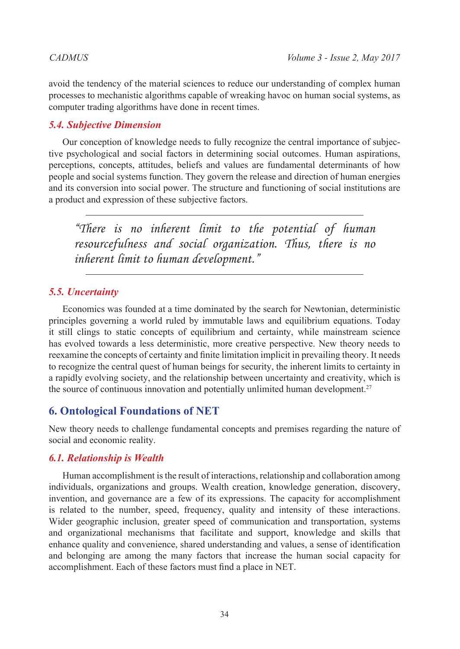avoid the tendency of the material sciences to reduce our understanding of complex human processes to mechanistic algorithms capable of wreaking havoc on human social systems, as computer trading algorithms have done in recent times.

# *5.4. Subjective Dimension*

Our conception of knowledge needs to fully recognize the central importance of subjective psychological and social factors in determining social outcomes. Human aspirations, perceptions, concepts, attitudes, beliefs and values are fundamental determinants of how people and social systems function. They govern the release and direction of human energies and its conversion into social power. The structure and functioning of social institutions are a product and expression of these subjective factors.

*"There is no inherent limit to the potential of human resourcefulness and social organization. Thus, there is no inherent limit to human development."*

# *5.5. Uncertainty*

Economics was founded at a time dominated by the search for Newtonian, deterministic principles governing a world ruled by immutable laws and equilibrium equations. Today it still clings to static concepts of equilibrium and certainty, while mainstream science has evolved towards a less deterministic, more creative perspective. New theory needs to reexamine the concepts of certainty and finite limitation implicit in prevailing theory. It needs to recognize the central quest of human beings for security, the inherent limits to certainty in a rapidly evolving society, and the relationship between uncertainty and creativity, which is the source of continuous innovation and potentially unlimited human development.<sup>[27](#page-34-24)</sup>

# **6. Ontological Foundations of NET**

New theory needs to challenge fundamental concepts and premises regarding the nature of social and economic reality.

# *6.1. Relationship is Wealth*

Human accomplishment is the result of interactions, relationship and collaboration among individuals, organizations and groups. Wealth creation, knowledge generation, discovery, invention, and governance are a few of its expressions. The capacity for accomplishment is related to the number, speed, frequency, quality and intensity of these interactions. Wider geographic inclusion, greater speed of communication and transportation, systems and organizational mechanisms that facilitate and support, knowledge and skills that enhance quality and convenience, shared understanding and values, a sense of identification and belonging are among the many factors that increase the human social capacity for accomplishment. Each of these factors must find a place in NET.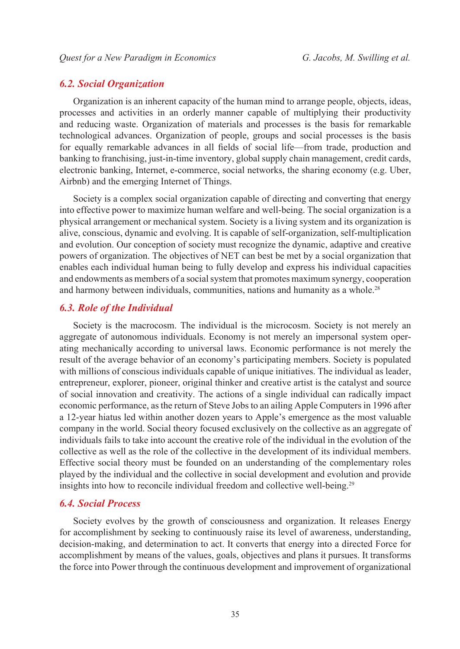# *6.2. Social Organization*

Organization is an inherent capacity of the human mind to arrange people, objects, ideas, processes and activities in an orderly manner capable of multiplying their productivity and reducing waste. Organization of materials and processes is the basis for remarkable technological advances. Organization of people, groups and social processes is the basis for equally remarkable advances in all fields of social life—from trade, production and banking to franchising, just-in-time inventory, global supply chain management, credit cards, electronic banking, Internet, e-commerce, social networks, the sharing economy (e.g. Uber, Airbnb) and the emerging Internet of Things.

Society is a complex social organization capable of directing and converting that energy into effective power to maximize human welfare and well-being. The social organization is a physical arrangement or mechanical system. Society is a living system and its organization is alive, conscious, dynamic and evolving. It is capable of self-organization, self-multiplication and evolution. Our conception of society must recognize the dynamic, adaptive and creative powers of organization. The objectives of NET can best be met by a social organization that enables each individual human being to fully develop and express his individual capacities and endowments as members of a social system that promotes maximum synergy, cooperation and harmony between individuals, communities, nations and humanity as a whole.<sup>[28](#page-34-25)</sup>

# *6.3. Role of the Individual*

Society is the macrocosm. The individual is the microcosm. Society is not merely an aggregate of autonomous individuals. Economy is not merely an impersonal system operating mechanically according to universal laws. Economic performance is not merely the result of the average behavior of an economy's participating members. Society is populated with millions of conscious individuals capable of unique initiatives. The individual as leader, entrepreneur, explorer, pioneer, original thinker and creative artist is the catalyst and source of social innovation and creativity. The actions of a single individual can radically impact economic performance, as the return of Steve Jobs to an ailing Apple Computers in 1996 after a 12-year hiatus led within another dozen years to Apple's emergence as the most valuable company in the world. Social theory focused exclusively on the collective as an aggregate of individuals fails to take into account the creative role of the individual in the evolution of the collective as well as the role of the collective in the development of its individual members. Effective social theory must be founded on an understanding of the complementary roles played by the individual and the collective in social development and evolution and provide insights into how to reconcile individual freedom and collective well-being.<sup>[29](#page-34-26)</sup>

### *6.4. Social Process*

Society evolves by the growth of consciousness and organization. It releases Energy for accomplishment by seeking to continuously raise its level of awareness, understanding, decision-making, and determination to act. It converts that energy into a directed Force for accomplishment by means of the values, goals, objectives and plans it pursues. It transforms the force into Power through the continuous development and improvement of organizational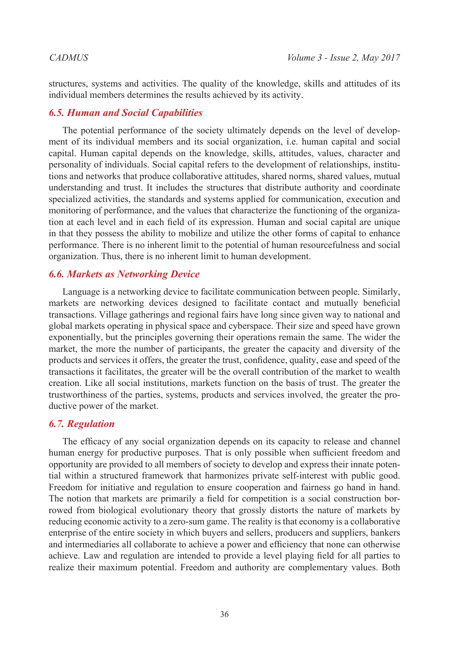structures, systems and activities. The quality of the knowledge, skills and attitudes of its individual members determines the results achieved by its activity.

# *6.5. Human and Social Capabilities*

The potential performance of the society ultimately depends on the level of development of its individual members and its social organization, i.e. human capital and social capital. Human capital depends on the knowledge, skills, attitudes, values, character and personality of individuals. Social capital refers to the development of relationships, institutions and networks that produce collaborative attitudes, shared norms, shared values, mutual understanding and trust. It includes the structures that distribute authority and coordinate specialized activities, the standards and systems applied for communication, execution and monitoring of performance, and the values that characterize the functioning of the organization at each level and in each field of its expression. Human and social capital are unique in that they possess the ability to mobilize and utilize the other forms of capital to enhance performance. There is no inherent limit to the potential of human resourcefulness and social organization. Thus, there is no inherent limit to human development.

## *6.6. Markets as Networking Device*

Language is a networking device to facilitate communication between people. Similarly, markets are networking devices designed to facilitate contact and mutually beneficial transactions. Village gatherings and regional fairs have long since given way to national and global markets operating in physical space and cyberspace. Their size and speed have grown exponentially, but the principles governing their operations remain the same. The wider the market, the more the number of participants, the greater the capacity and diversity of the products and services it offers, the greater the trust, confidence, quality, ease and speed of the transactions it facilitates, the greater will be the overall contribution of the market to wealth creation. Like all social institutions, markets function on the basis of trust. The greater the trustworthiness of the parties, systems, products and services involved, the greater the productive power of the market.

# *6.7. Regulation*

The efficacy of any social organization depends on its capacity to release and channel human energy for productive purposes. That is only possible when sufficient freedom and opportunity are provided to all members of society to develop and express their innate potential within a structured framework that harmonizes private self-interest with public good. Freedom for initiative and regulation to ensure cooperation and fairness go hand in hand. The notion that markets are primarily a field for competition is a social construction borrowed from biological evolutionary theory that grossly distorts the nature of markets by reducing economic activity to a zero-sum game. The reality is that economy is a collaborative enterprise of the entire society in which buyers and sellers, producers and suppliers, bankers and intermediaries all collaborate to achieve a power and efficiency that none can otherwise achieve. Law and regulation are intended to provide a level playing field for all parties to realize their maximum potential. Freedom and authority are complementary values. Both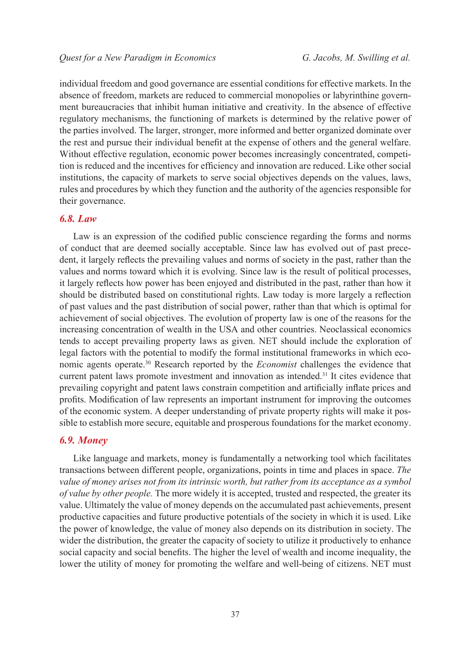individual freedom and good governance are essential conditions for effective markets. In the absence of freedom, markets are reduced to commercial monopolies or labyrinthine government bureaucracies that inhibit human initiative and creativity. In the absence of effective regulatory mechanisms, the functioning of markets is determined by the relative power of the parties involved. The larger, stronger, more informed and better organized dominate over the rest and pursue their individual benefit at the expense of others and the general welfare. Without effective regulation, economic power becomes increasingly concentrated, competition is reduced and the incentives for efficiency and innovation are reduced. Like other social institutions, the capacity of markets to serve social objectives depends on the values, laws, rules and procedures by which they function and the authority of the agencies responsible for their governance.

### *6.8. Law*

Law is an expression of the codified public conscience regarding the forms and norms of conduct that are deemed socially acceptable. Since law has evolved out of past precedent, it largely reflects the prevailing values and norms of society in the past, rather than the values and norms toward which it is evolving. Since law is the result of political processes, it largely reflects how power has been enjoyed and distributed in the past, rather than how it should be distributed based on constitutional rights. Law today is more largely a reflection of past values and the past distribution of social power, rather than that which is optimal for achievement of social objectives. The evolution of property law is one of the reasons for the increasing concentration of wealth in the USA and other countries. Neoclassical economics tends to accept prevailing property laws as given. NET should include the exploration of legal factors with the potential to modify the formal institutional frameworks in which economic agents operate[.30](#page-34-27) Research reported by the *Economist* challenges the evidence that current patent laws promote investment and innovation as intended.<sup>31</sup> It cites evidence that prevailing copyright and patent laws constrain competition and artificially inflate prices and profits. Modification of law represents an important instrument for improving the outcomes of the economic system. A deeper understanding of private property rights will make it possible to establish more secure, equitable and prosperous foundations for the market economy.

#### *6.9. Money*

Like language and markets, money is fundamentally a networking tool which facilitates transactions between different people, organizations, points in time and places in space. *The value of money arises not from its intrinsic worth, but rather from its acceptance as a symbol of value by other people.* The more widely it is accepted, trusted and respected, the greater its value. Ultimately the value of money depends on the accumulated past achievements, present productive capacities and future productive potentials of the society in which it is used. Like the power of knowledge, the value of money also depends on its distribution in society. The wider the distribution, the greater the capacity of society to utilize it productively to enhance social capacity and social benefits. The higher the level of wealth and income inequality, the lower the utility of money for promoting the welfare and well-being of citizens. NET must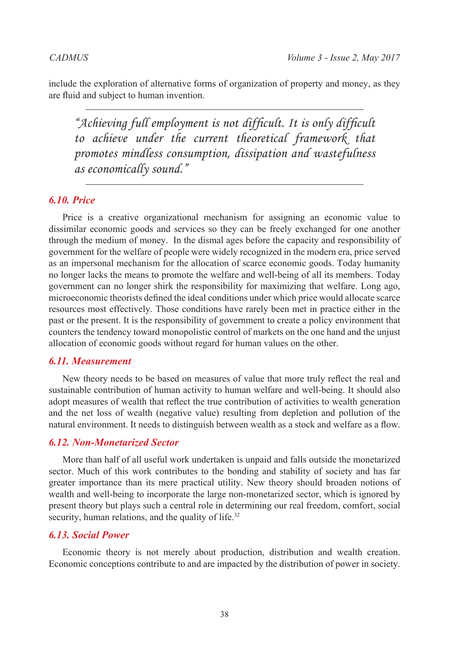include the exploration of alternative forms of organization of property and money, as they are fluid and subject to human invention.

*"Achieving full employment is not difficult. It is only difficult to achieve under the current theoretical framework that promotes mindless consumption, dissipation and wastefulness as economically sound."*

# *6.10. Price*

Price is a creative organizational mechanism for assigning an economic value to dissimilar economic goods and services so they can be freely exchanged for one another through the medium of money. In the dismal ages before the capacity and responsibility of government for the welfare of people were widely recognized in the modern era, price served as an impersonal mechanism for the allocation of scarce economic goods. Today humanity no longer lacks the means to promote the welfare and well-being of all its members. Today government can no longer shirk the responsibility for maximizing that welfare. Long ago, microeconomic theorists defined the ideal conditions under which price would allocate scarce resources most effectively. Those conditions have rarely been met in practice either in the past or the present. It is the responsibility of government to create a policy environment that counters the tendency toward monopolistic control of markets on the one hand and the unjust allocation of economic goods without regard for human values on the other.

## *6.11. Measurement*

New theory needs to be based on measures of value that more truly reflect the real and sustainable contribution of human activity to human welfare and well-being. It should also adopt measures of wealth that reflect the true contribution of activities to wealth generation and the net loss of wealth (negative value) resulting from depletion and pollution of the natural environment. It needs to distinguish between wealth as a stock and welfare as a flow.

## *6.12. Non-Monetarized Sector*

More than half of all useful work undertaken is unpaid and falls outside the monetarized sector. Much of this work contributes to the bonding and stability of society and has far greater importance than its mere practical utility. New theory should broaden notions of wealth and well-being to incorporate the large non-monetarized sector, which is ignored by present theory but plays such a central role in determining our real freedom, comfort, social security, human relations, and the quality of life.<sup>32</sup>

## *6.13. Social Power*

Economic theory is not merely about production, distribution and wealth creation. Economic conceptions contribute to and are impacted by the distribution of power in society.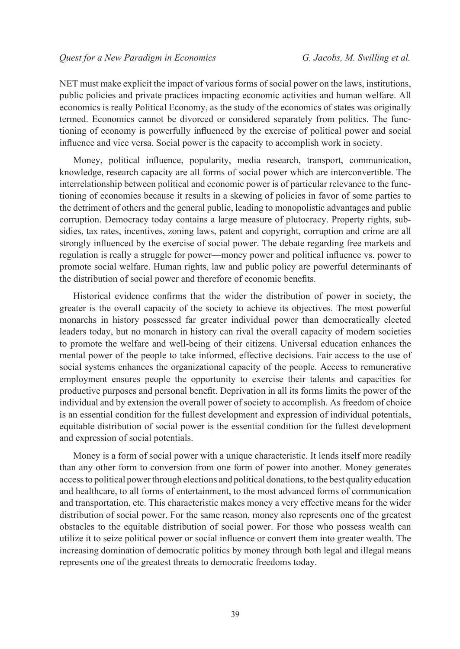NET must make explicit the impact of various forms of social power on the laws, institutions, public policies and private practices impacting economic activities and human welfare. All economics is really Political Economy, as the study of the economics of states was originally termed. Economics cannot be divorced or considered separately from politics. The functioning of economy is powerfully influenced by the exercise of political power and social influence and vice versa. Social power is the capacity to accomplish work in society.

Money, political influence, popularity, media research, transport, communication, knowledge, research capacity are all forms of social power which are interconvertible. The interrelationship between political and economic power is of particular relevance to the functioning of economies because it results in a skewing of policies in favor of some parties to the detriment of others and the general public, leading to monopolistic advantages and public corruption. Democracy today contains a large measure of plutocracy. Property rights, subsidies, tax rates, incentives, zoning laws, patent and copyright, corruption and crime are all strongly influenced by the exercise of social power. The debate regarding free markets and regulation is really a struggle for power—money power and political influence vs. power to promote social welfare. Human rights, law and public policy are powerful determinants of the distribution of social power and therefore of economic benefits.

Historical evidence confirms that the wider the distribution of power in society, the greater is the overall capacity of the society to achieve its objectives. The most powerful monarchs in history possessed far greater individual power than democratically elected leaders today, but no monarch in history can rival the overall capacity of modern societies to promote the welfare and well-being of their citizens. Universal education enhances the mental power of the people to take informed, effective decisions. Fair access to the use of social systems enhances the organizational capacity of the people. Access to remunerative employment ensures people the opportunity to exercise their talents and capacities for productive purposes and personal benefit. Deprivation in all its forms limits the power of the individual and by extension the overall power of society to accomplish. As freedom of choice is an essential condition for the fullest development and expression of individual potentials, equitable distribution of social power is the essential condition for the fullest development and expression of social potentials.

Money is a form of social power with a unique characteristic. It lends itself more readily than any other form to conversion from one form of power into another. Money generates access to political power through elections and political donations, to the best quality education and healthcare, to all forms of entertainment, to the most advanced forms of communication and transportation, etc. This characteristic makes money a very effective means for the wider distribution of social power. For the same reason, money also represents one of the greatest obstacles to the equitable distribution of social power. For those who possess wealth can utilize it to seize political power or social influence or convert them into greater wealth. The increasing domination of democratic politics by money through both legal and illegal means represents one of the greatest threats to democratic freedoms today.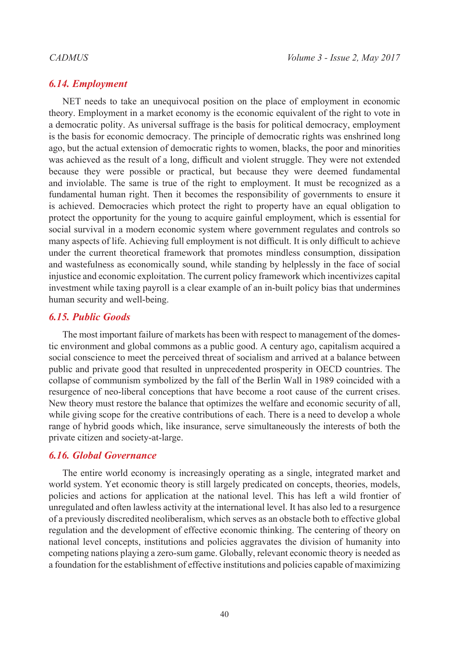# *6.14. Employment*

NET needs to take an unequivocal position on the place of employment in economic theory. Employment in a market economy is the economic equivalent of the right to vote in a democratic polity. As universal suffrage is the basis for political democracy, employment is the basis for economic democracy. The principle of democratic rights was enshrined long ago, but the actual extension of democratic rights to women, blacks, the poor and minorities was achieved as the result of a long, difficult and violent struggle. They were not extended because they were possible or practical, but because they were deemed fundamental and inviolable. The same is true of the right to employment. It must be recognized as a fundamental human right. Then it becomes the responsibility of governments to ensure it is achieved. Democracies which protect the right to property have an equal obligation to protect the opportunity for the young to acquire gainful employment, which is essential for social survival in a modern economic system where government regulates and controls so many aspects of life. Achieving full employment is not difficult. It is only difficult to achieve under the current theoretical framework that promotes mindless consumption, dissipation and wastefulness as economically sound, while standing by helplessly in the face of social injustice and economic exploitation. The current policy framework which incentivizes capital investment while taxing payroll is a clear example of an in-built policy bias that undermines human security and well-being.

# *6.15. Public Goods*

The most important failure of markets has been with respect to management of the domestic environment and global commons as a public good. A century ago, capitalism acquired a social conscience to meet the perceived threat of socialism and arrived at a balance between public and private good that resulted in unprecedented prosperity in OECD countries. The collapse of communism symbolized by the fall of the Berlin Wall in 1989 coincided with a resurgence of neo-liberal conceptions that have become a root cause of the current crises. New theory must restore the balance that optimizes the welfare and economic security of all, while giving scope for the creative contributions of each. There is a need to develop a whole range of hybrid goods which, like insurance, serve simultaneously the interests of both the private citizen and society-at-large.

# *6.16. Global Governance*

The entire world economy is increasingly operating as a single, integrated market and world system. Yet economic theory is still largely predicated on concepts, theories, models, policies and actions for application at the national level. This has left a wild frontier of unregulated and often lawless activity at the international level. It has also led to a resurgence of a previously discredited neoliberalism, which serves as an obstacle both to effective global regulation and the development of effective economic thinking. The centering of theory on national level concepts, institutions and policies aggravates the division of humanity into competing nations playing a zero-sum game. Globally, relevant economic theory is needed as a foundation for the establishment of effective institutions and policies capable of maximizing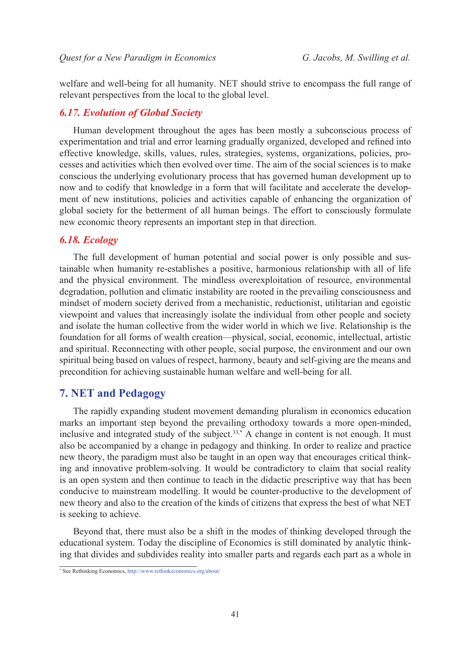welfare and well-being for all humanity. NET should strive to encompass the full range of relevant perspectives from the local to the global level.

# *6.17. Evolution of Global Society*

Human development throughout the ages has been mostly a subconscious process of experimentation and trial and error learning gradually organized, developed and refined into effective knowledge, skills, values, rules, strategies, systems, organizations, policies, processes and activities which then evolved over time. The aim of the social sciences is to make conscious the underlying evolutionary process that has governed human development up to now and to codify that knowledge in a form that will facilitate and accelerate the development of new institutions, policies and activities capable of enhancing the organization of global society for the betterment of all human beings. The effort to consciously formulate new economic theory represents an important step in that direction.

### *6.18. Ecology*

The full development of human potential and social power is only possible and sustainable when humanity re-establishes a positive, harmonious relationship with all of life and the physical environment. The mindless overexploitation of resource, environmental degradation, pollution and climatic instability are rooted in the prevailing consciousness and mindset of modern society derived from a mechanistic, reductionist, utilitarian and egoistic viewpoint and values that increasingly isolate the individual from other people and society and isolate the human collective from the wider world in which we live. Relationship is the foundation for all forms of wealth creation—physical, social, economic, intellectual, artistic and spiritual. Reconnecting with other people, social purpose, the environment and our own spiritual being based on values of respect, harmony, beauty and self-giving are the means and precondition for achieving sustainable human welfare and well-being for all.

# **7. NET and Pedagogy**

The rapidly expanding student movement demanding pluralism in economics education marks an important step beyond the prevailing orthodoxy towards a more open-minded, inclusive and integrated study of the subject.<sup>[33,](#page-34-30)\*</sup> A change in content is not enough. It must also be accompanied by a change in pedagogy and thinking. In order to realize and practice new theory, the paradigm must also be taught in an open way that encourages critical thinking and innovative problem-solving. It would be contradictory to claim that social reality is an open system and then continue to teach in the didactic prescriptive way that has been conducive to mainstream modelling. It would be counter-productive to the development of new theory and also to the creation of the kinds of citizens that express the best of what NET is seeking to achieve.

Beyond that, there must also be a shift in the modes of thinking developed through the educational system. Today the discipline of Economics is still dominated by analytic thinking that divides and subdivides reality into smaller parts and regards each part as a whole in

<sup>\*</sup> See Rethinking Economics, http://www.rethinkeconomics.org/about/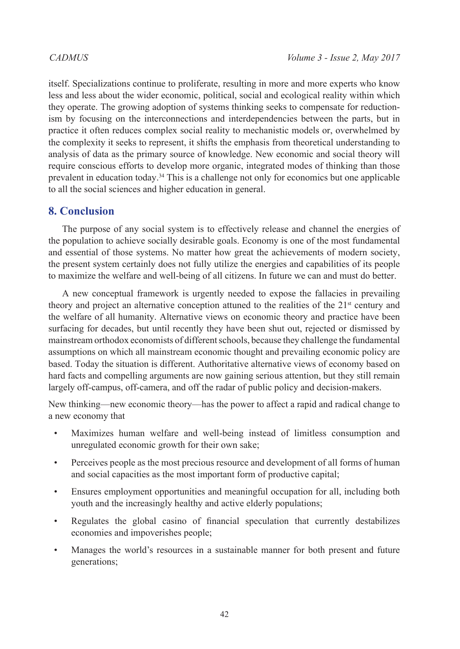itself. Specializations continue to proliferate, resulting in more and more experts who know less and less about the wider economic, political, social and ecological reality within which they operate. The growing adoption of systems thinking seeks to compensate for reductionism by focusing on the interconnections and interdependencies between the parts, but in practice it often reduces complex social reality to mechanistic models or, overwhelmed by the complexity it seeks to represent, it shifts the emphasis from theoretical understanding to analysis of data as the primary source of knowledge. New economic and social theory will require conscious efforts to develop more organic, integrated modes of thinking than those prevalent in education today[.34](#page-34-31) This is a challenge not only for economics but one applicable to all the social sciences and higher education in general.

# **8. Conclusion**

The purpose of any social system is to effectively release and channel the energies of the population to achieve socially desirable goals. Economy is one of the most fundamental and essential of those systems. No matter how great the achievements of modern society, the present system certainly does not fully utilize the energies and capabilities of its people to maximize the welfare and well-being of all citizens. In future we can and must do better.

A new conceptual framework is urgently needed to expose the fallacies in prevailing theory and project an alternative conception attuned to the realities of the  $21<sup>st</sup>$  century and the welfare of all humanity. Alternative views on economic theory and practice have been surfacing for decades, but until recently they have been shut out, rejected or dismissed by mainstream orthodox economists of different schools, because they challenge the fundamental assumptions on which all mainstream economic thought and prevailing economic policy are based. Today the situation is different. Authoritative alternative views of economy based on hard facts and compelling arguments are now gaining serious attention, but they still remain largely off-campus, off-camera, and off the radar of public policy and decision-makers.

New thinking—new economic theory—has the power to affect a rapid and radical change to a new economy that

- Maximizes human welfare and well-being instead of limitless consumption and unregulated economic growth for their own sake;
- Perceives people as the most precious resource and development of all forms of human and social capacities as the most important form of productive capital;
- Ensures employment opportunities and meaningful occupation for all, including both youth and the increasingly healthy and active elderly populations;
- Regulates the global casino of financial speculation that currently destabilizes economies and impoverishes people;
- Manages the world's resources in a sustainable manner for both present and future generations;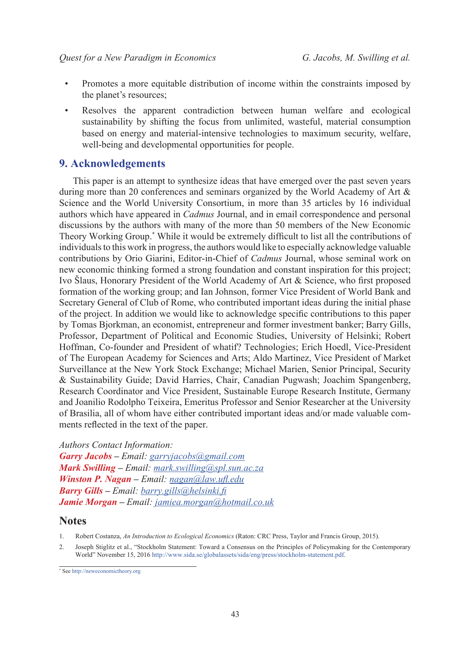- Promotes a more equitable distribution of income within the constraints imposed by the planet's resources;
- Resolves the apparent contradiction between human welfare and ecological sustainability by shifting the focus from unlimited, wasteful, material consumption based on energy and material-intensive technologies to maximum security, welfare, well-being and developmental opportunities for people.

# **9. Acknowledgements**

This paper is an attempt to synthesize ideas that have emerged over the past seven years during more than 20 conferences and seminars organized by the World Academy of Art & Science and the World University Consortium, in more than 35 articles by 16 individual authors which have appeared in *Cadmus* Journal, and in email correspondence and personal discussions by the authors with many of the more than 50 members of the New Economic Theory Working Group.\* While it would be extremely difficult to list all the contributions of individuals to this work in progress, the authors would like to especially acknowledge valuable contributions by Orio Giarini, Editor-in-Chief of *Cadmus* Journal, whose seminal work on new economic thinking formed a strong foundation and constant inspiration for this project; Ivo Šlaus, Honorary President of the World Academy of Art & Science, who first proposed formation of the working group; and Ian Johnson, former Vice President of World Bank and Secretary General of Club of Rome, who contributed important ideas during the initial phase of the project. In addition we would like to acknowledge specific contributions to this paper by Tomas Bjorkman, an economist, entrepreneur and former investment banker; Barry Gills, Professor, Department of Political and Economic Studies, University of Helsinki; Robert Hoffman, Co-founder and President of whatif? Technologies; Erich Hoedl, Vice-President of The European Academy for Sciences and Arts; Aldo Martinez, Vice President of Market Surveillance at the New York Stock Exchange; Michael Marien, Senior Principal, Security & Sustainability Guide; David Harries, Chair, Canadian Pugwash; Joachim Spangenberg, Research Coordinator and Vice President, Sustainable Europe Research Institute, Germany and Joanilio Rodolpho Teixeira, Emeritus Professor and Senior Researcher at the University of Brasilia, all of whom have either contributed important ideas and/or made valuable comments reflected in the text of the paper.

### *Authors Contact Information:*

*Garry Jacobs – Email: [garryjacobs@gmail.com](mailto:garryjacobs%40gmail.com?subject=) Mark Swilling – Email: mark.swilling@spl.sun.ac.za Winston P. Nagan – Email: nagan@law.ufl.edu Barry Gills – Email: [barry.gills@helsinki.fi](mailto:barry.gills%40helsinki.fi?subject=) Jamie Morgan – Email: [jamiea.morgan@hotmail.co.uk](mailto:jamiea.morgan%40hotmail.co.uk?subject=)*

# **Notes**

<span id="page-33-0"></span><sup>1.</sup> Robert Costanza, *An Introduction to Ecological Economics* (Raton: CRC Press, Taylor and Francis Group, 2015).

<span id="page-33-1"></span><sup>2.</sup> Joseph Stiglitz et al., "Stockholm Statement: Toward a Consensus on the Principles of Policymaking for the Contemporary World" November 15, 2016 http://www.sida.se/globalassets/sida/eng/press/stockholm-statement.pdf.

<sup>\*</sup> See<http://neweconomictheory.org>